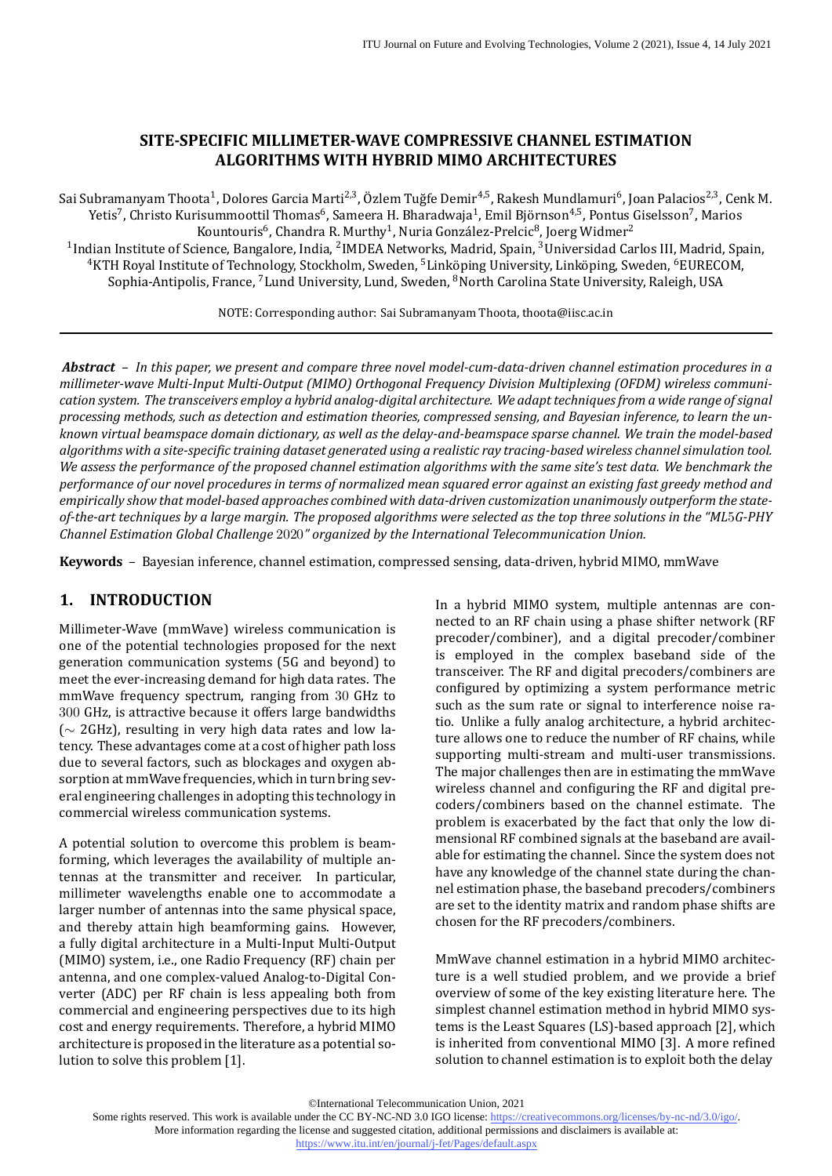## **SITE‑SPECIFIC MILLIMETER‑WAVE COMPRESSIVE CHANNEL ESTIMATION ALGORITHMS WITH HYBRID MIMO ARCHITECTURES**

Sai Subramanyam Thoota<sup>1</sup>, Dolores Garcia Marti<sup>2,3</sup>, Özlem Tuğfe Demir<sup>4,5</sup>, Rakesh Mundlamuri<sup>6</sup>, Joan Palacios<sup>2,3</sup>, Cenk M. Yetis<sup>7</sup>, Christo Kurisummoottil Thomas<sup>6</sup>, Sameera H. Bharadwaja<sup>1</sup>, Emil Björnson<sup>4,5</sup>, Pontus Giselsson<sup>7</sup>, Marios Kountouris<sup>6</sup>, Chandra R. Murthy<sup>1</sup>, Nuria González-Prelcic<sup>8</sup>, Joerg Widmer<sup>2</sup>

<sup>1</sup>Indian Institute of Science, Bangalore, India, <sup>2</sup>IMDEA Networks, Madrid, Spain, <sup>3</sup>Universidad Carlos III, Madrid, Spain, <sup>4</sup>KTH Royal Institute of Technology, Stockholm, Sweden, <sup>5</sup>Linköping University, Linköping, Sweden, <sup>6</sup>EURECOM, Sophia-Antipolis, France, <sup>7</sup>Lund University, Lund, Sweden, <sup>8</sup>North Carolina State University, Raleigh, USA

NOTE: Corresponding author: Sai Subramanyam Thoota, thoota@iisc.ac.in

*Abstract* – *In this paper, we present and compare three novel model‑cum‑data‑driven channel estimation procedures in a millimeter‑wave Multi‑Input Multi‑Output (MIMO) Orthogonal Frequency Division Multiplexing (OFDM) wireless communi‑ cation system. The transceivers employ a hybrid analog‑digital architecture. We adapt techniques from a wide range of signal processing methods, such as detection and estimation theories, compressed sensing, and Bayesian inference, to learn the un‑ known virtual beamspace domain dictionary, as well as the delay‑and‑beamspace sparse channel. We train the model‑based algorithms with a site-specific training dataset generated using a realistic ray tracing-based wireless channel simulation tool. We assess the performance of the proposed channel estimation algorithms with the same site's test data. We benchmark the performance of our novel procedures in terms of normalized mean squared error against an existing fast greedy method and empirically show that model‑based approaches combined with data‑driven customization unanimously outperform the state‑ of‑the‑art techniques by a large margin. The proposed algorithms were selected as the top three solutions in the "ML*5*G‑PHY Channel Estimation Global Challenge* 2020*" organized by the International Telecommunication Union.*

**Keywords** – Bayesian inference, channel estimation, compressed sensing, data‐driven, hybrid MIMO, mmWave

# **1. INTRODUCTION**

Millimeter‐Wave (mmWave) wireless communication is one of the potential technologies proposed for the next generation communication systems (5G and beyond) to meet the ever-increasing demand for high data rates. The mmWave frequency spectrum, ranging from 30 GHz to 300 GHz, is attractive because it offers large bandwidths (∼ 2GHz), resulting in very high data rates and low la‐ tency. These advantages come at a cost of higher path loss due to several factors, such as blockages and oxygen ab‐ sorption at mmWave frequencies, which in turn bring several engineering challenges in adopting this technology in commercial wireless communication systems.

A potential solution to overcome this problem is beam‐ forming, which leverages the availability of multiple an‐ tennas at the transmitter and receiver. In particular, millimeter wavelengths enable one to accommodate a larger number of antennas into the same physical space, and thereby attain high beamforming gains. However, a fully digital architecture in a Multi‐Input Multi‐Output (MIMO) system, i.e., one Radio Frequency (RF) chain per antenna, and one complex‐valued Analog‐to‐Digital Con‐ verter (ADC) per RF chain is less appealing both from commercial and engineering perspectives due to its high cost and energy requirements. Therefore, a hybrid MIMO architecture is proposed in the literature as a potential solution to solve this problem[[1](#page-13-0)].

In a hybrid MIMO system, multiple antennas are con‐ nected to an RF chain using a phase shifter network (RF precoder/combiner), and a digital precoder/combiner is employed in the complex baseband side of the transceiver. The RF and digital precoders/combiners are configured by optimizing a system performance metric such as the sum rate or signal to interference noise ratio. Unlike a fully analog architecture, a hybrid architec‐ ture allows one to reduce the number of RF chains, while supporting multi‐stream and multi‐user transmissions. The major challenges then are in estimating the mmWave wireless channel and configuring the RF and digital precoders/combiners based on the channel estimate. The problem is exacerbated by the fact that only the low di‐ mensional RF combined signals at the baseband are avail‐ able for estimating the channel. Since the system does not have any knowledge of the channel state during the channel estimation phase, the baseband precoders/combiners are set to the identity matrix and random phase shifts are chosen for the RF precoders/combiners.

MmWave channel estimation in a hybrid MIMO architec‐ ture is a well studied problem, and we provide a brief overview of some of the key existing literature here. The simplest channel estimation method in hybrid MIMO sys‐ tems is the Least Squares (LS)‐based approach [[2](#page-13-1)], which is inherited from conventional MIMO [\[3\]](#page-13-2). A more refined solution to channel estimation is to exploit both the delay

©International Telecommunication Union, 2021

Some rights reserved. This work is available under the CC BY-NC-ND 3.0 IGO license:<https://creativecommons.org/licenses/by-nc-nd/3.0/igo/>. More information regarding the license and suggested citation, additional permissions and disclaimers is available at: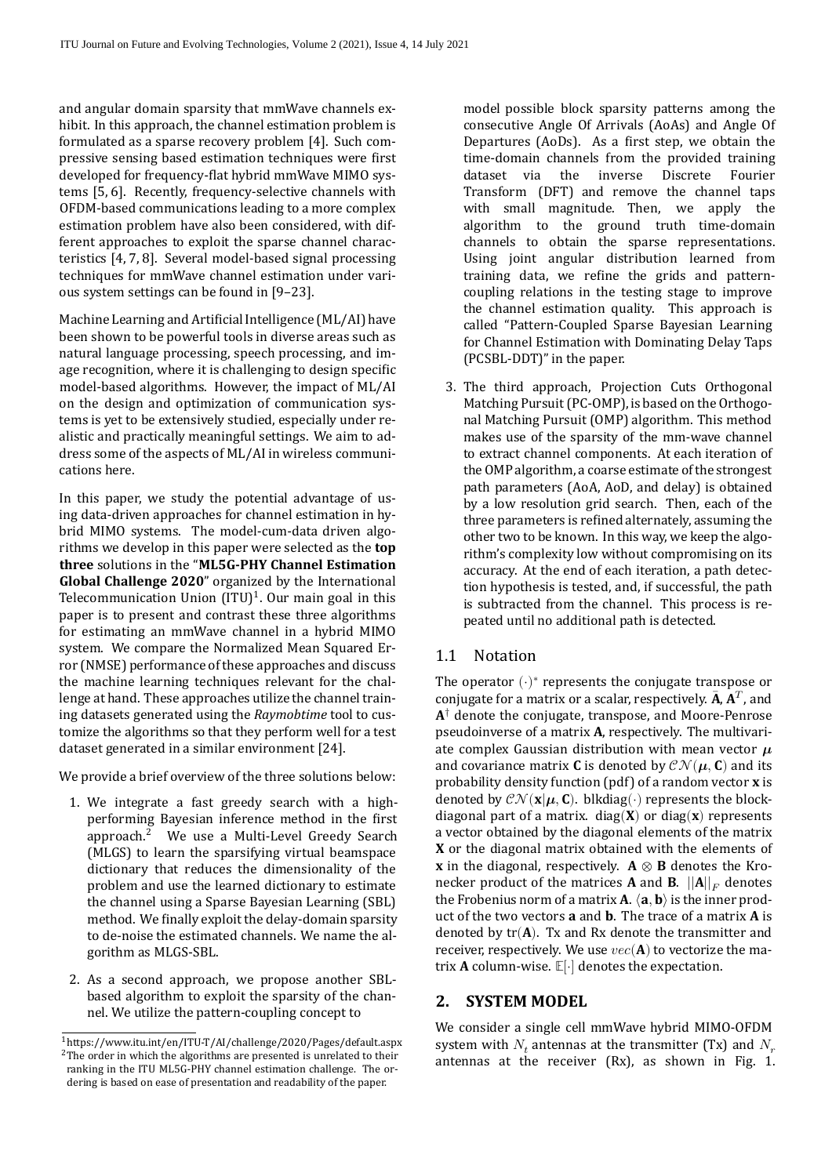and angular domain sparsity that mmWave channels ex‐ hibit. In this approach, the channel estimation problem is formulated as a sparse recovery problem [\[4\]](#page-13-3). Such com‐ pressive sensing based estimation techniques were first developed for frequency-flat hybrid mmWave MIMO sys-tems[[5](#page-13-4), [6](#page-13-5)]. Recently, frequency-selective channels with OFDM‐based communications leading to a more complex estimation problem have also been considered, with dif‐ ferent approaches to exploit the sparse channel characteristics [\[4,](#page-13-3) [7](#page-13-6), [8](#page-13-7)]. Several model‐based signal processing techniques for mmWave channel estimation under various system settings can be found in[[9](#page-13-8)[–23](#page-14-0)].

Machine Learning and Artificial Intelligence (ML/AI) have been shown to be powerful tools in diverse areas such as natural language processing, speech processing, and im‐ age recognition, where it is challenging to design specific model‐based algorithms. However, the impact of ML/AI on the design and optimization of communication sys‐ tems is yet to be extensively studied, especially under re‐ alistic and practically meaningful settings. We aim to ad‐ dress some of the aspects of ML/AI in wireless communi‐ cations here.

In this paper, we study the potential advantage of us‐ ing data-driven approaches for channel estimation in hybrid MIMO systems. The model‐cum‐data driven algo‐ rithms we develop in this paper were selected as the **top three** solutions in the "**ML5G‑PHY Channel Estimation Global Challenge 2020**" organized by the International Telecommunication Union  $(TU)^{1}$ . Our main goal in this paper is to present and contrast these three algorithms for estimating an mmWave channel in a hybrid MIMO system. We compare the Normalized Mean Squared Er‐ ror (NMSE) performance of these approaches and discuss the machine learning techniques relevant for the challenge at hand. These approaches utilize the channel train‐ ing datasets generated using the *Raymobtime* tool to customize the algorithms so that they perform well for a test dataset generated in a similar environment[[24\]](#page-14-1).

We provide a brief overview of the three solutions below:

- 1. We integrate a fast greedy search with a high‐ performing Bayesian inference method in the first approach.<sup>2</sup> We use a Multi-Level Greedy Search (MLGS) to learn the sparsifying virtual beamspace dictionary that reduces the dimensionality of the problem and use the learned dictionary to estimate the channel using a Sparse Bayesian Learning (SBL) method. We finally exploit the delay-domain sparsity to de‐noise the estimated channels. We name the al‐ gorithm as MLGS‐SBL.
- 2. As a second approach, we propose another SBL‐ based algorithm to exploit the sparsity of the chan‐ nel. We utilize the pattern-coupling concept to

model possible block sparsity patterns among the consecutive Angle Of Arrivals (AoAs) and Angle Of Departures (AoDs). As a first step, we obtain the time-domain channels from the provided training<br>dataset via the inverse Discrete Fourier dataset via Transform (DFT) and remove the channel taps with small magnitude. Then, we apply the algorithm to the ground truth time-domain channels to obtain the sparse representations. Using joint angular distribution learned from training data, we refine the grids and patterncoupling relations in the testing stage to improve the channel estimation quality. This approach is called "Pattern‐Coupled Sparse Bayesian Learning for Channel Estimation with Dominating Delay Taps (PCSBL‐DDT)" in the paper.

3. The third approach, Projection Cuts Orthogonal Matching Pursuit (PC-OMP), is based on the Orthogonal Matching Pursuit (OMP) algorithm. This method makes use of the sparsity of the mm‐wave channel to extract channel components. At each iteration of the OMP algorithm, a coarse estimate of the strongest path parameters (AoA, AoD, and delay) is obtained by a low resolution grid search. Then, each of the three parameters is refined alternately, assuming the other two to be known. In this way, we keep the algo‐ rithm's complexity low without compromising on its accuracy. At the end of each iteration, a path detec‐ tion hypothesis is tested, and, if successful, the path is subtracted from the channel. This process is re‐ peated until no additional path is detected.

## 1.1 Notation

The operator  $(\cdot)^*$  represents the conjugate transpose or conjugate for a matrix or a scalar, respectively.  $\bar{\mathbf{A}}$ ,  $\mathbf{A}^T$ , and **A** † denote the conjugate, transpose, and Moore‐Penrose pseudoinverse of a matrix **A**, respectively. The multivari‐ ate complex Gaussian distribution with mean vector  $\mu$ and covariance matrix **C** is denoted by  $\mathcal{CN}(\boldsymbol{\mu}, \mathbf{C})$  and its probability density function (pdf) of a random vector **x** is denoted by  $\mathcal{CN}(\mathbf{x}|\boldsymbol{\mu}, \mathbf{C})$ . blkdiag(⋅) represents the blockdiagonal part of a matrix. diag( $\mathbf{X}$ ) or diag( $\mathbf{x}$ ) represents a vector obtained by the diagonal elements of the matrix **X** or the diagonal matrix obtained with the elements of **x** in the diagonal, respectively.  $A \otimes B$  denotes the Kronecker product of the matrices **A** and **B**.  $||A||_F$  denotes the Frobenius norm of a matrix  $\mathbf{A}$ .  $\langle \mathbf{a}, \mathbf{b} \rangle$  is the inner product of the two vectors **a** and **b**. The trace of a matrix **A** is denoted by tr(**A**). Tx and Rx denote the transmitter and receiver, respectively. We use  $vec(A)$  to vectorize the matrix **A** column-wise. **E**[⋅] denotes the expectation.

## **2. SYSTEM MODEL**

We consider a single cell mmWave hybrid MIMO‐OFDM system with  $N_t$  antennas at the transmitter (Tx) and  $N_t$ antennas at the receiver (Rx), as shown in Fig. [1.](#page-2-0)

<sup>1</sup>https://www.itu.int/en/ITU‐T/AI/challenge/2020/Pages/default.aspx <sup>2</sup>The order in which the algorithms are presented is unrelated to their ranking in the ITU ML5G‐PHY channel estimation challenge. The or‐ dering is based on ease of presentation and readability of the paper.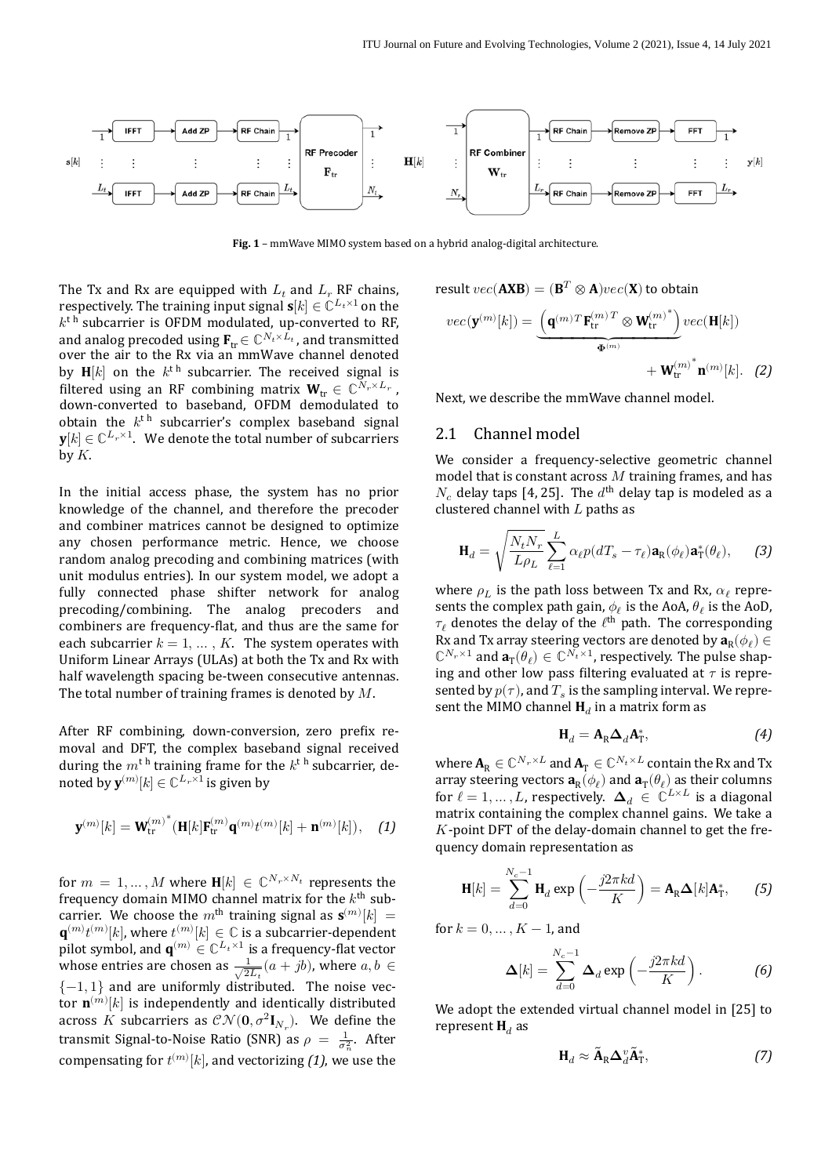<span id="page-2-0"></span>

Fig. 1 - mmWave MIMO system based on a hybrid analog-digital architecture.

The Tx and Rx are equipped with  $L_t$  and  $L_r$  RF chains, respectively. The training input signal  $\mathbf{s}[k] \in \mathbb{C}^{L_t \times 1}$  on the  $k^{\text{th}}$  subcarrier is OFDM modulated, up-converted to RF, and analog precoded using  $\mathbf{F}_{tr} \in \mathbb{C}^{N_t \times L_t}$ , and transmitted over the air to the Rx via an mmWave channel denoted by  $\mathbf{H}[k]$  on the  $k^{\text{th}}$  subcarrier. The received signal is filtered using an RF combining matrix  $\mathbf{W}_{tr} \in \mathbb{C}^{N_r \times L_r}$ , down‐converted to baseband, OFDM demodulated to obtain the  $k^{\text{th}}$  subcarrier's complex baseband signal  $\mathbf{y}[k] \in \mathbb{C}^{L_r \times 1}$ . We denote the total number of subcarriers  $\overline{b}$  by  $K$ .

In the initial access phase, the system has no prior knowledge of the channel, and therefore the precoder and combiner matrices cannot be designed to optimize any chosen performance metric. Hence, we choose random analog precoding and combining matrices (with unit modulus entries). In our system model, we adopt a fully connected phase shifter network for analog precoding/combining. The analog precoders and combiners are frequency-flat, and thus are the same for each subcarrier  $k = 1, ..., K$ . The system operates with Uniform Linear Arrays (ULAs) at both the Tx and Rx with half wavelength spacing be-tween consecutive antennas. The total number of training frames is denoted by  $M$ .

After RF combining, down-conversion, zero prefix removal and DFT, the complex baseband signal received during the  $m^{\text{th}}$  training frame for the  $k^{\text{th}}$  subcarrier, denoted by  $\mathbf{y}^{(m)}[k] \in \mathbb{C}^{L_r \times 1}$  is given by

$$
\mathbf{y}^{(m)}[k] = \mathbf{W}_{\text{tr}}^{(m)^*}(\mathbf{H}[k]\mathbf{F}_{\text{tr}}^{(m)}\mathbf{q}^{(m)}t^{(m)}[k] + \mathbf{n}^{(m)}[k]), \quad (1)
$$

for  $m = 1, ..., M$  where  $H[k] \in \mathbb{C}^{N_r \times N_t}$  represents the frequency domain MIMO channel matrix for the  $k^{\text{th}}$  subcarrier. We choose the  $m^{\text{th}}$  training signal as  $\mathbf{s}^{(m)}[k] =$  $\mathbf{q}^{(m)}t^{(m)}[k]$ , where  $t^{(m)}[k]\in\mathbb{C}$  is a subcarrier-dependent pilot symbol, and  $\mathbf{q}^{(m)} \in \mathbb{C}^{L_t \times 1}$  is a frequency-flat vector whose entries are chosen as  $\frac{1}{\sqrt{2L_t}}(a+jb)$ , where  $a, b \in$  ${-1, 1}$  and are uniformly distributed. The noise vector  $\mathbf{n}^{(m)}[k]$  is independently and identically distributed across  $K$  subcarriers as  $\mathcal{CN}(\mathbf{0}, \sigma^2 \mathbf{I}_{N_r})$ . We define the transmit Signal-to-Noise Ratio (SNR) as  $\rho = \frac{1}{\sigma_n^2}$ . After compensating for  $t^{(m)}[k]$ , and vectorizing *[\(1\)](#page-2-1)*, we use the

result 
$$
vec(\mathbf{AXB}) = (\mathbf{B}^T \otimes \mathbf{A})vec(\mathbf{X})
$$
 to obtain  
\n
$$
vec(\mathbf{y}^{(m)}[k]) = \underbrace{\left(\mathbf{q}^{(m)}^T\mathbf{F}_{tr}^{(m)T} \otimes \mathbf{W}_{tr}^{(m)^*}\right)}_{\Phi^{(m)}}vec(\mathbf{H}[k]) + \mathbf{W}_{tr}^{(m)^*}\mathbf{n}^{(m)}[k].
$$
 (2)

<span id="page-2-3"></span>Next, we describe the mmWave channel model.

### 2.1 Channel model

We consider a frequency-selective geometric channel model that is constant across  $M$  training frames, and has  $N_c$  delay taps [\[4,](#page-13-3) [25\]](#page-14-2). The  $d^{\text{th}}$  delay tap is modeled as a clustered channel with  $L$  paths as

$$
\mathbf{H}_d = \sqrt{\frac{N_t N_r}{L \rho_L}} \sum_{\ell=1}^L \alpha_\ell p(dT_s - \tau_\ell) \mathbf{a}_R(\phi_\ell) \mathbf{a}_T^*(\theta_\ell), \qquad (3)
$$

where  $\rho_L$  is the path loss between Tx and Rx,  $\alpha_{\ell}$  represents the complex path gain,  $\phi_{\ell}$  is the AoA,  $\theta_{\ell}$  is the AoD,  $\tau_{\ell}$  denotes the delay of the  $\ell^{\text{th}}$  path. The corresponding Rx and Tx array steering vectors are denoted by  $\mathbf{a}_R(\phi_\ell) \in \mathbb{R}^N$  $\mathbb{C}^{N_r \times 1}$  and  $\mathbf{a}_T(\theta_\ell) \in \mathbb{C}^{N_t \times 1}$ , respectively. The pulse shaping and other low pass filtering evaluated at  $\tau$  is represented by  $p(\tau)$ , and  $T_s$  is the sampling interval. We represent the MIMO channel  $H_d$  in a matrix form as

<span id="page-2-5"></span><span id="page-2-4"></span>
$$
\mathbf{H}_d = \mathbf{A}_{\mathrm{R}} \boldsymbol{\Delta}_d \mathbf{A}_{\mathrm{T}}^*,\tag{4}
$$

<span id="page-2-1"></span>where  $\mathbf{A}_R \in \mathbb{C}^{N_r \times L}$  and  $\mathbf{A}_T \in \mathbb{C}^{N_t \times L}$  contain the Rx and Tx array steering vectors  $\mathbf{a}_R(\phi_\ell)$  and  $\mathbf{a}_T(\theta_\ell)$  as their columns for  $\ell = 1, ..., L$ , respectively.  $\Delta_d \in \mathbb{C}^{L \times L}$  is a diagonal matrix containing the complex channel gains. We take a  $K$ -point DFT of the delay-domain channel to get the frequency domain representation as

$$
\mathbf{H}[k] = \sum_{d=0}^{N_c-1} \mathbf{H}_d \exp\left(-\frac{j2\pi kd}{K}\right) = \mathbf{A}_R \mathbf{\Delta}[k] \mathbf{A}_T^*, \qquad (5)
$$

for  $k = 0, ..., K - 1$ , and

$$
\mathbf{\Delta}[k] = \sum_{d=0}^{N_c - 1} \mathbf{\Delta}_d \exp\left(-\frac{j2\pi kd}{K}\right). \tag{6}
$$

We adopt the extended virtual channel model in[[25\]](#page-14-2) to represent  $\mathbf{H}_d$  as

<span id="page-2-2"></span>
$$
\mathbf{H}_d \approx \tilde{\mathbf{A}}_{\rm R} \Delta_d^v \tilde{\mathbf{A}}_{\rm T}^*,\tag{7}
$$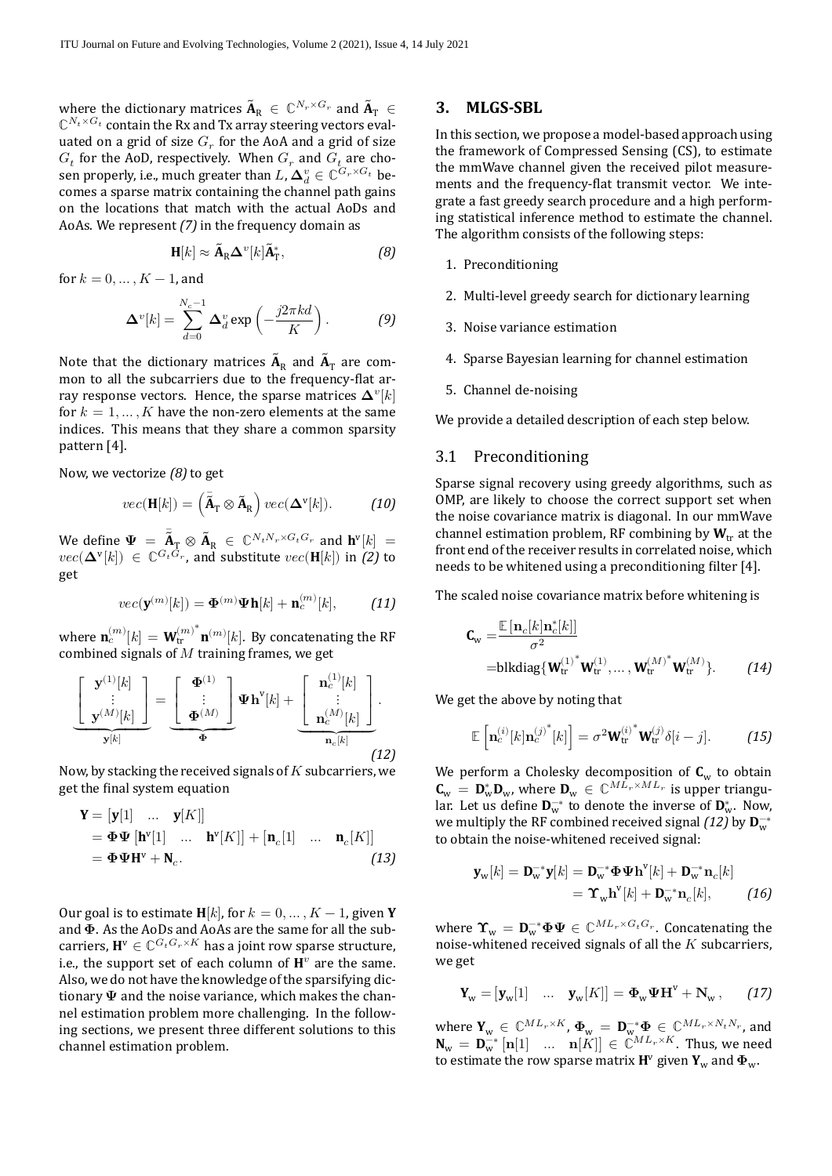where the dictionary matrices  $\tilde{\textbf{A}}_{\text{R}} \in \mathbb{C}^{N_r \times G_r}$  and  $\tilde{\textbf{A}}_{\text{T}} \in \mathbb{C}^{N_r \times G_r}$  $\mathbb{C}^{N_t \times G_t}$  contain the Rx and Tx array steering vectors evaluated on a grid of size  $G_r$  for the AoA and a grid of size  $G_t$  for the AoD, respectively. When  $G_r$  and  $G_t$  are chosen properly, i.e., much greater than  $L$ ,  $\mathbf{\Delta}^v_d \in \mathbb{C}^{G_r \times G_t}$  becomes a sparse matrix containing the channel path gains on the locations that match with the actual AoDs and AoAs. We represent *[\(7\)](#page-2-2)* in the frequency domain as

$$
\mathbf{H}[k] \approx \tilde{\mathbf{A}}_{\mathrm{R}} \mathbf{\Delta}^{\mathrm{v}}[k] \tilde{\mathbf{A}}_{\mathrm{T}}^*,\tag{8}
$$

for  $k = 0, ..., K - 1$ , and

$$
\mathbf{\Delta}^{v}[k] = \sum_{d=0}^{N_c - 1} \mathbf{\Delta}_d^v \exp\left(-\frac{j2\pi kd}{K}\right). \tag{9}
$$

Note that the dictionary matrices  $\tilde{A}_R$  and  $\tilde{A}_T$  are common to all the subcarriers due to the frequency-flat array response vectors. Hence, the sparse matrices  ${\bf \Delta}^v[k]$ for  $k = 1, ..., K$  have the non-zero elements at the same indices. This means that they share a common sparsity pattern[[4](#page-13-3)].

Now, we vectorize *[\(8\)](#page-3-0)* to get

$$
vec(\mathbf{H}[k]) = (\tilde{\mathbf{A}}_{\mathrm{T}} \otimes \tilde{\mathbf{A}}_{\mathrm{R}}) vec(\mathbf{\Delta}^{\mathrm{v}}[k]).
$$
 (10)

We define  $\Psi = \overline{\mathbf{A}}_{\text{T}} \otimes \mathbf{A}_{\text{R}} \in \mathbb{C}^{N_t N_r \times G_t G_r}$  and  $\mathbf{h}^{\text{v}}[k] =$  $vec(\mathbf{\Delta}^{\mathbf{v}}[k]) \in \mathbb{C}^{G_t G_r}$ , and substitute  $vec(\mathbf{H}[k])$  in *[\(2\)](#page-2-3)* to get

$$
vec(\mathbf{y}^{(m)}[k]) = \mathbf{\Phi}^{(m)}\mathbf{\Psi}\mathbf{h}[k] + \mathbf{n}_c^{(m)}[k], \quad (11)
$$

where  $\mathbf{n}_c^{(m)}[k] = \mathbf{W}_{\textrm{tr}}^{(m)}$ tr  $\sum_{i=1}^{\infty} \ln^{(m)}[k]$ . By concatenating the RF combined signals of  $\overline{M}$  training frames, we get

$$
\underbrace{\left[\begin{array}{c} \mathbf{y}^{(1)}[k] \\ \vdots \\ \mathbf{y}^{(M)}[k] \end{array}\right]}_{\mathbf{y}[k]} = \underbrace{\left[\begin{array}{c} \mathbf{\Phi}^{(1)} \\ \vdots \\ \mathbf{\Phi}^{(M)} \end{array}\right]}_{\mathbf{\Phi}} \mathbf{\Psi} \mathbf{h}^{v}[k] + \underbrace{\left[\begin{array}{c} \mathbf{n}_{c}^{(1)}[k] \\ \vdots \\ \mathbf{n}_{c}^{(M)}[k] \end{array}\right]}_{\mathbf{n}_{c}[k]}.
$$
\n(12)

Now, by stacking the received signals of  $K$  subcarriers, we get the final system equation

$$
\mathbf{Y} = [\mathbf{y}[1] \quad \dots \quad \mathbf{y}[K]]
$$
  
=  $\mathbf{\Phi} \mathbf{\Psi} [\mathbf{h}^{\mathbf{v}}[1] \quad \dots \quad \mathbf{h}^{\mathbf{v}}[K]] + [\mathbf{n}_c[1] \quad \dots \quad \mathbf{n}_c[K]]$   
=  $\mathbf{\Phi} \mathbf{\Psi} \mathbf{H}^{\mathbf{v}} + \mathbf{N}_c.$  (13)

Our goal is to estimate  $H[k]$ , for  $k = 0, ..., K - 1$ , given Y and  $\Phi$ . As the AoDs and AoAs are the same for all the subcarriers,  $\mathbf{H}^{\text{v}}\in\mathbb{C}^{G_{t}G_{r}\times K}$  has a joint row sparse structure, i.e., the support set of each column of  $\mathbf{H}^v$  are the same. Also, we do not have the knowledge of the sparsifying dic‐ tionary  $\Psi$  and the noise variance, which makes the channel estimation problem more challenging. In the follow‐ ing sections, we present three different solutions to this channel estimation problem.

#### **3. MLGS‑SBL**

In this section, we propose a model‐based approach using the framework of Compressed Sensing (CS), to estimate the mmWave channel given the received pilot measure‐ ments and the frequency-flat transmit vector. We integrate a fast greedy search procedure and a high perform‐ ing statistical inference method to estimate the channel. The algorithm consists of the following steps:

- <span id="page-3-0"></span>1. Preconditioning
- 2. Multi‐level greedy search for dictionary learning
- 3. Noise variance estimation
- 4. Sparse Bayesian learning for channel estimation
- 5. Channel de‐noising

We provide a detailed description of each step below.

## 3.1 Preconditioning

Sparse signal recovery using greedy algorithms, such as OMP, are likely to choose the correct support set when the noise covariance matrix is diagonal. In our mmWave channel estimation problem, RF combining by  $W_{tr}$  at the front end of the receiver results in correlated noise, which needsto be whitened using a preconditioning filter [[4](#page-13-3)].

<span id="page-3-1"></span>The scaled noise covariance matrix before whitening is

$$
\mathbf{C}_{\mathbf{w}} = \frac{\mathbb{E}\left[\mathbf{n}_c[k]\mathbf{n}_c^*[k]\right]}{\sigma^2}
$$
  
=blkdiag{ $\mathbf{W}_{tr}^{(1)^*}\mathbf{W}_{tr}^{(1)}, \dots, \mathbf{W}_{tr}^{(M)^*}\mathbf{W}_{tr}^{(M)}$ }. (14)

We get the above by noting that

$$
\mathbb{E}\left[\mathbf{n}_c^{(i)}[k]\mathbf{n}_c^{(j)^*}[k]\right] = \sigma^2 \mathbf{W}_{\text{tr}}^{(i)^*} \mathbf{W}_{\text{tr}}^{(j)} \delta[i-j]. \tag{15}
$$

<span id="page-3-3"></span>We perform a Cholesky decomposition of  $C_w$  to obtain  $\mathbf{C}_{w} = \mathbf{D}_{w}^{*} \mathbf{D}_{w}$ , where  $\mathbf{D}_{w} \in \mathbb{C}^{ML_r \times ML_r}$  is upper triangular. Let us define  $\mathbf{D}_{w}^{-*}$  to denote the inverse of  $\mathbf{D}_{w}^{*}$ . Now, we multiply the RF combined received signal *[\(12\)](#page-3-1)* by  $\mathbf{D}_{w}^{-*}$ to obtain the noise‐whitened received signal:

<span id="page-3-2"></span>
$$
\mathbf{y}_{\mathbf{w}}[k] = \mathbf{D}_{\mathbf{w}}^{-*} \mathbf{y}[k] = \mathbf{D}_{\mathbf{w}}^{-*} \mathbf{\Phi} \mathbf{\Psi} \mathbf{h}^{\mathbf{v}}[k] + \mathbf{D}_{\mathbf{w}}^{-*} \mathbf{n}_c[k]
$$

$$
= \Upsilon_{\mathbf{w}} \mathbf{h}^{\mathbf{v}}[k] + \mathbf{D}_{\mathbf{w}}^{-*} \mathbf{n}_c[k], \qquad (16)
$$

where  $\mathbf{\hat{T}}_{w} = \mathbf{D}_{w}^{-*} \mathbf{\Phi} \mathbf{\Psi} \in \mathbb{C}^{ML_r \times G_t G_r}$ . Concatenating the noise-whitened received signals of all the  $K$  subcarriers, we get

<span id="page-3-4"></span>
$$
\mathbf{Y}_{\mathbf{w}} = [\mathbf{y}_{\mathbf{w}}[1] \quad \dots \quad \mathbf{y}_{\mathbf{w}}[K]] = \mathbf{\Phi}_{\mathbf{w}} \mathbf{\Psi} \mathbf{H}^{\mathbf{v}} + \mathbf{N}_{\mathbf{w}} \,, \qquad (17)
$$

where  $\mathbf{Y}_w \in \mathbb{C}^{ML_r \times K}$ ,  $\boldsymbol{\Phi}_w = \mathbf{D}_w^{-*} \boldsymbol{\Phi} \in \mathbb{C}^{ML_r \times N_t N_r}$ , and  $\mathbf{N}_{\mathbf{w}} = \mathbf{D}_{\mathbf{w}}^{-*} [\mathbf{n}[1] \quad \dots \quad \mathbf{n}[K]] \in \mathbb{C}^{ML_r \times K}$ . Thus, we need to estimate the row sparse matrix  $\mathbf{H}^{\text{v}}$  given  $\mathbf{Y}_{\text{w}}$  and  $\mathbf{\Phi}_{\text{w}}$ .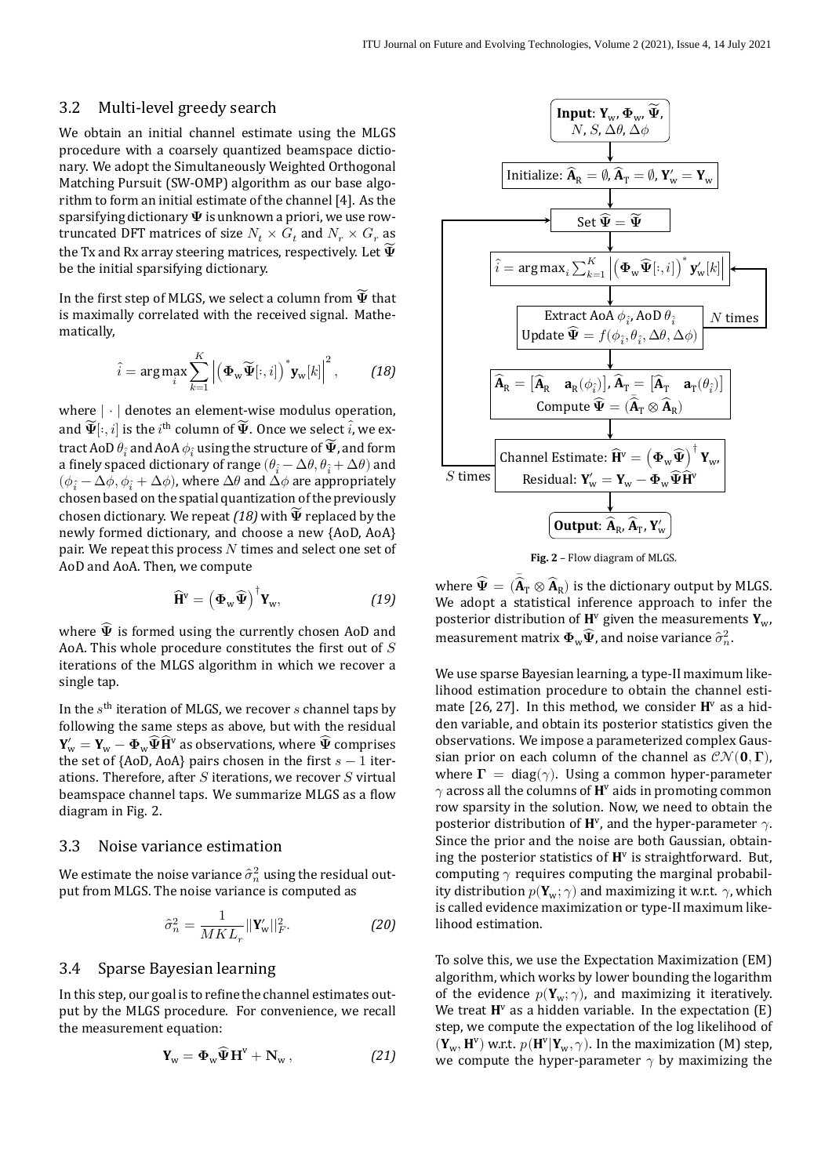## 3.2 Multi‐level greedy search

We obtain an initial channel estimate using the MLGS procedure with a coarsely quantized beamspace dictio‐ nary. We adopt the Simultaneously Weighted Orthogonal Matching Pursuit (SW-OMP) algorithm as our base algorithm to form an initial estimate of the channel [\[4](#page-13-3)]. As the sparsifying dictionary  $\Psi$  is unknown a priori, we use rowtruncated DFT matrices of size  $N_t \times G_t$  and  $N_r \times G_r$  as the Tx and Rx array steering matrices, respectively. Let  $\widetilde{\Psi}$ be the initial sparsifying dictionary.

In the first step of MLGS, we select a column from  $\widetilde{\Psi}$  that is maximally correlated with the received signal. Mathe‐ matically,

$$
\hat{i} = \arg \max_{i} \sum_{k=1}^{K} \left| \left( \boldsymbol{\Phi}_{\mathbf{w}} \widetilde{\boldsymbol{\Psi}}[:, i] \right)^{*} \mathbf{y}_{\mathbf{w}}[k] \right|^{2}, \quad (18)
$$

where | ⋅ | denotes an element-wise modulus operation, and  $\widetilde{\Psi}[:,i]$  is the  $i^{\text{th}}$  column of  $\widetilde{\Psi}.$  Once we select  $\widehat{i}$ , we extract AoD  $\theta_{\hat{i}}$  and AoA  $\phi_{\hat{i}}$  using the structure of  $\widetilde{\mathbf{\Psi}}$ , and form a finely spaced dictionary of range  $(\theta_{\hat{i}} - \Delta\theta, \theta_{\hat{i}} + \Delta\theta)$  and  $(\phi_{\hat{i}} - \Delta \phi, \phi_{\hat{i}} + \Delta \phi)$ , where  $\Delta \theta$  and  $\Delta \phi$  are appropriately chosen based on the spatial quantization of the previously chosen dictionary. We repeat  $(18)$  with  $\widetilde{\Psi}$  replaced by the newly formed dictionary, and choose a new {AoD, AoA} pair. We repeat this process  $N$  times and select one set of AoD and AoA. Then, we compute

$$
\widehat{\mathbf{H}}^{\mathrm{v}} = \left(\mathbf{\Phi}_{\mathrm{w}}\widehat{\mathbf{\Psi}}\right)^{\dagger} \mathbf{Y}_{\mathrm{w}},\tag{19}
$$

where  $\widehat{\Psi}$  is formed using the currently chosen AoD and AoA. This whole procedure constitutes the first out of  $S$ iterations of the MLGS algorithm in which we recover a single tap.

In the  $s^{\text{th}}$  iteration of MLGS, we recover  $s$  channel taps by following the same steps as above, but with the residual  $\mathbf{Y}_\mathsf{w}' = \mathbf{Y}_\mathsf{w} - \mathbf{\Phi}_\mathsf{w}\widehat{\mathbf{\Psi}} \widehat{\mathbf{H}}^\mathsf{v}$  as observations, where  $\widehat{\mathbf{\Psi}}$  comprises the set of {AoD, AoA} pairs chosen in the first  $s - 1$  iterations. Therefore, after  $S$  iterations, we recover  $S$  virtual beamspace channel taps. We summarize MLGS as a flow diagram in Fig. [2.](#page-4-1)

## 3.3 Noise variance estimation

We estimate the noise variance  $\hat{\sigma}_{n}^{2}$  using the residual output from MLGS. The noise variance is computed as

$$
\hat{\sigma}_n^2 = \frac{1}{MKL_r} ||\mathbf{Y}_{\mathbf{w}}'||_F^2.
$$
 (20)

#### 3.4 Sparse Bayesian learning

In this step, our goal is to refine the channel estimates output by the MLGS procedure. For convenience, we recall the measurement equation:

$$
\mathbf{Y}_{w} = \mathbf{\Phi}_{w} \widehat{\mathbf{\Psi}} \mathbf{H}^{v} + \mathbf{N}_{w}, \qquad (21)
$$

<span id="page-4-1"></span>

**Fig. 2** – Flow diagram of MLGS.

<span id="page-4-0"></span>where  $\widehat{\Psi} = (\widehat{\bar{\mathbf{A}}}_\text{T} \otimes \widehat{\mathbf{A}}_\text{R})$  is the dictionary output by MLGS. We adopt a statistical inference approach to infer the posterior distribution of  $\mathbf{H}^v$  given the measurements  $\mathbf{Y}_{w}$ , measurement matrix  $\mathbf{\Phi}_w \widehat{\mathbf{\Psi}}$ , and noise variance  $\widehat{\sigma}_n^2$ .

We use sparse Bayesian learning, a type-II maximum likelihood estimation procedure to obtain the channel esti‐ mate $[26, 27]$  $[26, 27]$  $[26, 27]$ . In this method, we consider  $\mathbf{H}^{\text{v}}$  as a hidden variable, and obtain its posterior statistics given the observations. We impose a parameterized complex Gaus‐ sian prior on each column of the channel as  $\mathcal{CN}(\mathbf{0}, \mathbf{\Gamma})$ , where  $\Gamma = \text{diag}(\gamma)$ . Using a common hyper-parameter  $\gamma$  across all the columns of  $\mathbf{H}^{\text{v}}$  aids in promoting common row sparsity in the solution. Now, we need to obtain the posterior distribution of  $\mathbf{H}^{\vee}$ , and the hyper-parameter  $\gamma$ . Since the prior and the noise are both Gaussian, obtain‐ ing the posterior statistics of  $H<sup>v</sup>$  is straightforward. But, computing  $\gamma$  requires computing the marginal probability distribution  $p(\mathbf{Y}_w; \gamma)$  and maximizing it w.r.t.  $\gamma$ , which is called evidence maximization or type‐II maximum like‐ lihood estimation.

To solve this, we use the Expectation Maximization (EM) algorithm, which works by lower bounding the logarithm of the evidence  $p(\mathbf{Y}_w; \gamma)$ , and maximizing it iteratively. We treat  $H^v$  as a hidden variable. In the expectation  $(E)$ step, we compute the expectation of the log likelihood of  $(\mathbf{Y}_w, \mathbf{H}^v)$  w.r.t.  $p(\mathbf{H}^v | \mathbf{Y}_w, \gamma)$ . In the maximization (M) step, we compute the hyper-parameter  $\gamma$  by maximizing the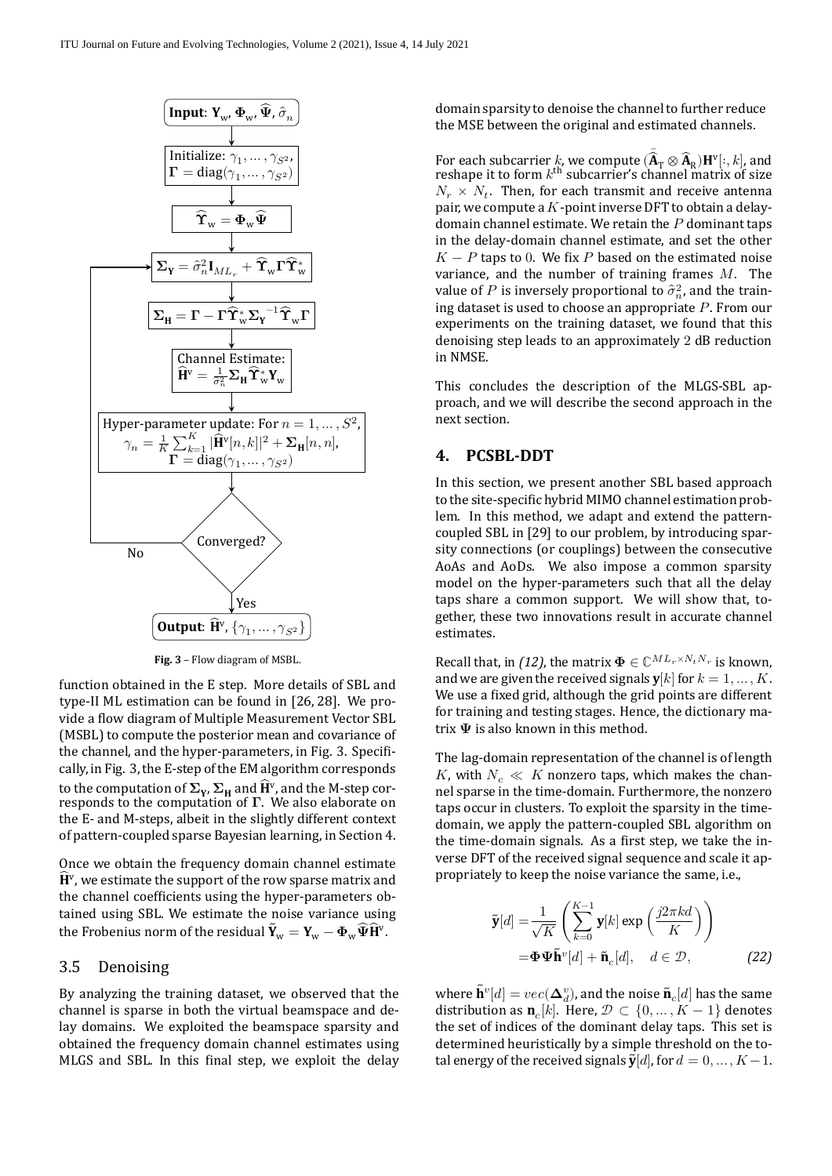<span id="page-5-0"></span>

**Fig. 3** – Flow diagram of MSBL.

function obtained in the E step. More details of SBL and type‐II ML estimation can be found in [\[26](#page-14-3), [28](#page-14-5)]. We pro‐ vide a flow diagram of Multiple Measurement Vector SBL (MSBL) to compute the posterior mean and covariance of the channel, and the hyper-parameters, in Fig. [3.](#page-5-0) Specifically, in Fig. [3](#page-5-0), the E‐step of the EM algorithm corresponds to the computation of  $\Sigma_{\rm Y}$ ,  $\Sigma_{\rm H}$  and  $\widehat{\rm H}^{\rm v}$ , and the M-step corresponds to the computation of  $\Gamma$ . We also elaborate on the E‐ and M‐steps, albeit in the slightly different context of pattern‐coupled sparse Bayesian learning, in Section [4](#page-5-1).

 $\widehat{\mathbf{H}}^{\text{v}}$ , we estimate the support of the row sparse matrix and the Frobenius norm of the residual  $\tilde{\mathbf{Y}}_{\mathrm{w}} = \mathbf{Y}_{\mathrm{w}} - \mathbf{\Phi}_{\mathrm{w}}\widehat{\mathbf{\Psi}}\widehat{\mathbf{H}}^{\mathrm{v}}.$ Once we obtain the frequency domain channel estimate the channel coefficients using the hyper-parameters obtained using SBL. We estimate the noise variance using

#### 3.5 Denoising

By analyzing the training dataset, we observed that the channel is sparse in both the virtual beamspace and de‐ lay domains. We exploited the beamspace sparsity and obtained the frequency domain channel estimates using MLGS and SBL. In this final step, we exploit the delay

domain sparsity to denoise the channel to further reduce the MSE between the original and estimated channels.

value of P is inversely proportional to  $\hat{\sigma}_n^2$ , and the train-For each subcarrier k, we compute  $\left(\mathbf{\bar{A}}_{\mathbf{T}} \otimes \mathbf{\hat{A}}_{\mathbf{R}}\right) \mathbf{H}^{\text{v}}[:, k]$ , and reshape it to form  $k^{\text{th}}$  subcarrier's channel matrix of size  $N_r \times N_t$ . Then, for each transmit and receive antenna pair, we compute a  $K$ -point inverse DFT to obtain a delaydomain channel estimate. We retain the  $P$  dominant taps in the delay‐domain channel estimate, and set the other  $K - P$  taps to 0. We fix P based on the estimated noise variance, and the number of training frames  $M$ . The ing dataset is used to choose an appropriate  $P$ . From our experiments on the training dataset, we found that this denoising step leads to an approximately 2 dB reduction in NMSE.

This concludes the description of the MLGS‐SBL ap‐ proach, and we will describe the second approach in the next section.

## <span id="page-5-1"></span>**4. PCSBL‑DDT**

In this section, we present another SBL based approach to the site-specific hybrid MIMO channel estimation problem. In this method, we adapt and extend the patterncoupled SBL in [[29\]](#page-14-6) to our problem, by introducing spar‐ sity connections (or couplings) between the consecutive AoAs and AoDs. We also impose a common sparsity model on the hyper-parameters such that all the delay taps share a common support. We will show that, to‐ gether, these two innovations result in accurate channel estimates.

Recall that, in *[\(12\)](#page-3-1)*, the matrix  $\mathbf{\Phi} \in \mathbb{C}^{ML_r \times N_t N_r}$  is known. and we are given the received signals  $y[k]$  for  $k = 1, ..., K$ . We use a fixed grid, although the grid points are different for training and testing stages. Hence, the dictionary ma‐ trix  $\Psi$  is also known in this method.

The lag‐domain representation of the channel is of length K, with  $N_c \ll K$  nonzero taps, which makes the channel sparse in the time‐domain. Furthermore, the nonzero taps occur in clusters. To exploit the sparsity in the time‐ domain, we apply the pattern‐coupled SBL algorithm on the time-domain signals. As a first step, we take the inverse DFT of the received signal sequence and scale it ap‐ propriately to keep the noise variance the same, i.e.,

$$
\tilde{\mathbf{y}}[d] = \frac{1}{\sqrt{K}} \left( \sum_{k=0}^{K-1} \mathbf{y}[k] \exp\left(\frac{j2\pi kd}{K}\right) \right)
$$

$$
= \mathbf{\Phi} \mathbf{\Psi} \tilde{\mathbf{h}}^{v}[d] + \tilde{\mathbf{n}}_{c}[d], \quad d \in \mathcal{D}, \tag{22}
$$

where  $\tilde{\mathbf{h}}^{v}[d] = vec(\mathbf{\Delta}_{d}^{v}),$  and the noise  $\tilde{\mathbf{n}}_{c}[d]$  has the same distribution as  $\mathbf{n}_c[k]$ . Here,  $\mathcal{D} \subset \{0, ..., K-1\}$  denotes the set of indices of the dominant delay taps. This set is determined heuristically by a simple threshold on the total energy of the received signals  $\tilde{\mathbf{y}}[d]$ , for  $d = 0, ..., K-1$ .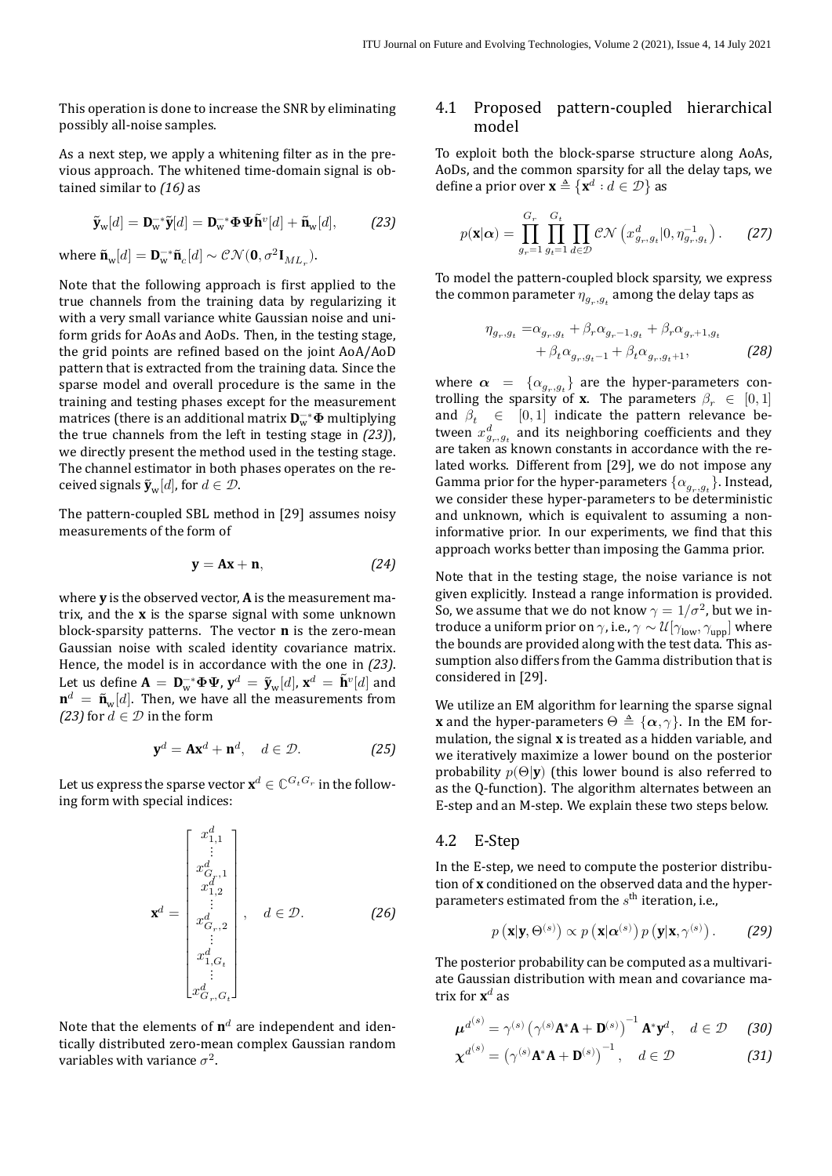This operation is done to increase the SNR by eliminating possibly all‐noise samples.

As a next step, we apply a whitening filter as in the previous approach. The whitened time‐domain signal is ob‐ tained similar to *[\(16\)](#page-3-2)* as

$$
\widetilde{\mathbf{y}}_{\mathbf{w}}[d] = \mathbf{D}_{\mathbf{w}}^{-*} \widetilde{\mathbf{y}}[d] = \mathbf{D}_{\mathbf{w}}^{-*} \mathbf{\Phi} \mathbf{\Psi} \widetilde{\mathbf{h}}^{v}[d] + \widetilde{\mathbf{n}}_{\mathbf{w}}[d],
$$
 (23)

where  $\tilde{\mathbf{n}}_{w}[d] = \mathbf{D}_{w}^{-*} \tilde{\mathbf{n}}_{c}[d] \sim \mathcal{CN}(\mathbf{0}, \sigma^2 \mathbf{I}_{ML_r}).$ 

Note that the following approach is first applied to the true channels from the training data by regularizing it with a very small variance white Gaussian noise and uniform grids for AoAs and AoDs. Then, in the testing stage, the grid points are refined based on the joint AoA/AoD pattern that is extracted from the training data. Since the sparse model and overall procedure is the same in the training and testing phases except for the measurement matrices (there is an additional matrix  $\mathbf{D}_w^{-*} \mathbf{\Phi}$  multiplying the true channels from the left in testing stage in *[\(23\)](#page-6-0)*), we directly present the method used in the testing stage. The channel estimator in both phases operates on the re‐ ceived signals  $\tilde{\mathbf{y}}_w[d]$ , for  $d \in \mathcal{D}$ .

Thepattern-coupled SBL method in [[29\]](#page-14-6) assumes noisy measurements of the form of

$$
y = Ax + n, \qquad (24)
$$

where **y** is the observed vector, **A** is the measurement ma‐ trix, and the **x** is the sparse signal with some unknown block‐sparsity patterns. The vector **n** is the zero‐mean Gaussian noise with scaled identity covariance matrix. Hence, the model is in accordance with the one in *[\(23\)](#page-6-0)*. Let us define  $\mathbf{A} = \mathbf{D}_w^{-*} \mathbf{\Phi} \mathbf{\Psi}$ ,  $\mathbf{y}^d = \tilde{\mathbf{y}}_w[d]$ ,  $\mathbf{x}^d = \tilde{\mathbf{h}}^v[d]$  and  $\mathbf{n}^d = \tilde{\mathbf{n}}_{\mathrm{w}}[d]$ . Then, we have all the measurements from *[\(23\)](#page-6-0)* for  $d \in \mathcal{D}$  in the form

$$
\mathbf{y}^d = \mathbf{A}\mathbf{x}^d + \mathbf{n}^d, \quad d \in \mathcal{D}.\tag{25}
$$

Let us express the sparse vector  $\mathbf{x}^d \in \mathbb{C}^{G_{t}G_{r}}$  in the following form with special indices:

$$
\mathbf{x}^{d} = \begin{bmatrix} x_{1,1}^{d} \\ \vdots \\ x_{G_r,1}^{d} \\ x_{1,2}^{d} \\ \vdots \\ x_{G_r,2}^{d} \\ \vdots \\ x_{1,G_t}^{d} \\ \vdots \\ x_{G_r,G_t}^{d} \end{bmatrix}, \quad d \in \mathcal{D}.
$$
 (26)

Note that the elements of  $\mathbf{n}^d$  are independent and identically distributed zero‐mean complex Gaussian random variables with variance  $\sigma^2$ .

## 4.1 Proposed pattern‐coupled hierarchical model

<span id="page-6-0"></span>To exploit both the block‐sparse structure along AoAs, AoDs, and the common sparsity for all the delay taps, we define a prior over  $\mathbf{x} \triangleq {\mathbf{x}^d : d \in \mathcal{D}}$  as

$$
p(\mathbf{x}|\alpha) = \prod_{g_r=1}^{G_r} \prod_{g_t=1}^{G_t} \prod_{d \in \mathcal{D}} \mathcal{CN}\left(x^d_{g_r, g_t} | 0, \eta_{g_r, g_t}^{-1}\right).
$$
 (27)

To model the pattern‐coupled block sparsity, we express the common parameter  $\eta_{g_r,g_t}$  among the delay taps as

<span id="page-6-2"></span>
$$
\eta_{g_r,g_t} = \alpha_{g_r,g_t} + \beta_r \alpha_{g_r-1,g_t} + \beta_r \alpha_{g_r+1,g_t} + \beta_t \alpha_{g_r,g_t-1} + \beta_t \alpha_{g_r,g_t+1},
$$
(28)

where  $\alpha = {\alpha_{g_r,g_t}}$  are the hyper-parameters controlling the sparsity of **x**. The parameters  $\beta_r \in [0,1]$ and  $\beta_t \in [0, 1]$  indicate the pattern relevance between  $x_{g_r,g_t}^d$  and its neighboring coefficients and they are taken as known constants in accordance with the related works. Different from [\[29\]](#page-14-6), we do not impose any Gamma prior for the hyper-parameters  $\{\alpha_{g_r,g_t}\}$ . Instead, we consider these hyper-parameters to be deterministic and unknown, which is equivalent to assuming a non‐ informative prior. In our experiments, we find that this approach works better than imposing the Gamma prior.

Note that in the testing stage, the noise variance is not given explicitly. Instead a range information is provided. So, we assume that we do not know  $\gamma = 1/\sigma^2$ , but we introduce a uniform prior on  $\gamma$ , i.e.,  $\gamma \sim \mathcal{U}[\gamma_{\text{low}}, \gamma_{\text{upp}}]$  where the bounds are provided along with the test data. This assumption also differs from the Gamma distribution that is considered in [\[29](#page-14-6)].

We utilize an EM algorithm for learning the sparse signal **x** and the hyper-parameters  $\Theta \triangleq {\{\alpha, \gamma\}}$ . In the EM formulation, the signal **x** is treated as a hidden variable, and we iteratively maximize a lower bound on the posterior probability  $p(\Theta|\mathbf{y})$  (this lower bound is also referred to as the Q-function). The algorithm alternates between an E‐step and an M‐step. We explain these two steps below.

#### 4.2 E‐Step

<span id="page-6-1"></span>In the E‐step, we need to compute the posterior distribu‐ tion of **x** conditioned on the observed data and the hyper‐ parameters estimated from the  $s<sup>th</sup>$  iteration, i.e.,

<span id="page-6-4"></span><span id="page-6-3"></span>
$$
p(\mathbf{x}|\mathbf{y},\Theta^{(s)}) \propto p(\mathbf{x}|\boldsymbol{\alpha}^{(s)}) p(\mathbf{y}|\mathbf{x},\gamma^{(s)})
$$
. (29)

The posterior probability can be computed as a multivariate Gaussian distribution with mean and covariance ma‐ trix for  $\mathbf{x}^d$  as

$$
\boldsymbol{\mu}^{d^{(s)}} = \gamma^{(s)} \left( \gamma^{(s)} \mathbf{A}^* \mathbf{A} + \mathbf{D}^{(s)} \right)^{-1} \mathbf{A}^* \mathbf{y}^d, \quad d \in \mathcal{D} \tag{30}
$$

$$
\boldsymbol{\chi}^{d^{(s)}} = \left(\gamma^{(s)}\mathbf{A}^*\mathbf{A} + \mathbf{D}^{(s)}\right)^{-1}, \quad d \in \mathcal{D}
$$
 (31)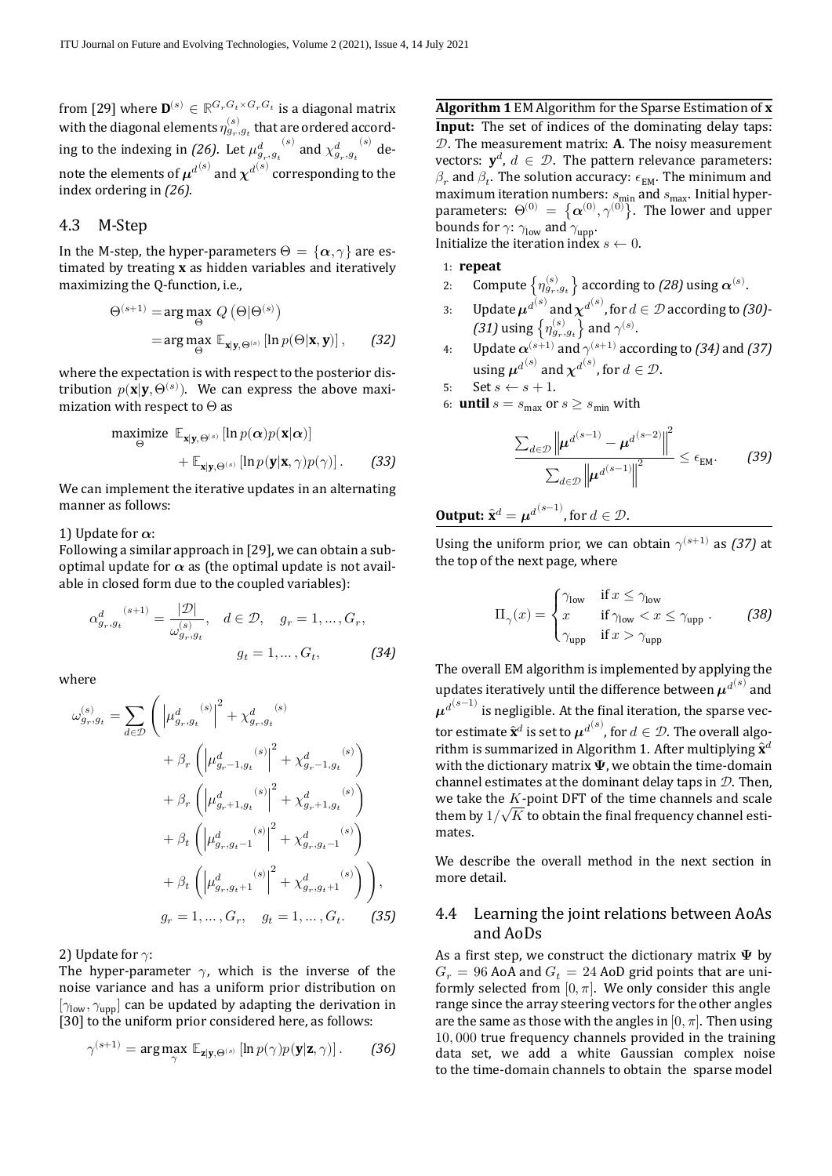from [\[29](#page-14-6)] where  $\mathbf{D}^{(s)} \in \mathbb{R}^{G_r G_t \times G_r G_t}$  is a diagonal matrix with the diagonal elements  $\eta_{g_r,g_t}^{(s)}$  that are ordered according to the indexing in *[\(26\)](#page-6-1)*. Let  $\mu^{d}_{g_r,g_t}^{(s)}$  and  $\chi^{d}_{g_r,g_t}^{(s)}$  denote the elements of  $\boldsymbol{\mu}^{d^{(\boldsymbol{s})}}$  and  $\boldsymbol{\chi}^{d^{(\boldsymbol{s})}}$  corresponding to the index ordering in *[\(26\)](#page-6-1)*.

#### 4.3 M‐Step

In the M-step, the hyper-parameters  $\Theta = {\alpha, \gamma}$  are estimated by treating **x** as hidden variables and iteratively maximizing the O-function, *i.e.*,

$$
\Theta^{(s+1)} = \arg \max_{\Theta} Q(\Theta | \Theta^{(s)})
$$
  
= 
$$
\arg \max_{\Theta} \mathbb{E}_{\mathbf{x} | \mathbf{y}, \Theta^{(s)}} [\ln p(\Theta | \mathbf{x}, \mathbf{y})],
$$
 (32)

where the expectation is with respect to the posterior distribution  $p(\mathbf{x}|\mathbf{y}, \Theta^{(s)})$ . We can express the above maximization with respect to Θ as

$$
\begin{aligned}\n\text{maximize} \quad & \mathbb{E}_{\mathbf{x}|\mathbf{y},\Theta^{(s)}} \left[ \ln p(\boldsymbol{\alpha}) p(\mathbf{x}|\boldsymbol{\alpha}) \right] \\
&+ \mathbb{E}_{\mathbf{x}|\mathbf{y},\Theta^{(s)}} \left[ \ln p(\mathbf{y}|\mathbf{x},\gamma) p(\gamma) \right].\n\end{aligned}\n\tag{33}
$$

We can implement the iterative updates in an alternating manner as follows:

#### 1) Update for  $\alpha$ :

Following a similar approach in[[29\]](#page-14-6), we can obtain a sub‐ optimal update for  $\alpha$  as (the optimal update is not available in closed form due to the coupled variables):

$$
\alpha_{g_r, g_t}^{d}^{(s+1)} = \frac{|\mathcal{D}|}{\omega_{g_r, g_t}^{(s)}}, \quad d \in \mathcal{D}, \quad g_r = 1, \dots, G_r,
$$
\n
$$
g_t = 1, \dots, G_t, \tag{34}
$$

where

$$
\omega_{g_r,g_t}^{(s)} = \sum_{d \in \mathcal{D}} \left( \left| \mu_{g_r,g_t}^{d(s)} \right|^2 + \chi_{g_r,g_t}^{d(s)} \right. \\
\left. + \beta_r \left( \left| \mu_{g_r-1,g_t}^{d(s)} \right|^2 + \chi_{g_r-1,g_t}^{d(s)} \right) \right. \\
\left. + \beta_r \left( \left| \mu_{g_r+1,g_t}^{d(s)} \right|^2 + \chi_{g_r+1,g_t}^{d(s)} \right) \right. \\
\left. + \beta_t \left( \left| \mu_{g_r,g_t-1}^{d(s)} \right|^2 + \chi_{g_r,g_t-1}^{d(s)} \right) \right. \\
\left. + \beta_t \left( \left| \mu_{g_r,g_t+1}^{d(s)} \right|^2 + \chi_{g_r,g_t+1}^{d(s)} \right) \right), \\
g_r = 1, \dots, G_r, \quad g_t = 1, \dots, G_t. \tag{35}
$$

2) Update for  $\gamma$ :

The hyper-parameter  $\gamma$ , which is the inverse of the noise variance and has a uniform prior distribution on  $[\gamma_{\text{low}}, \gamma_{\text{unp}}]$  can be updated by adapting the derivation in [\[30](#page-14-7)] to the uniform prior considered here, as follows:

$$
\gamma^{(s+1)} = \arg \max_{\gamma} \ \mathbb{E}_{\mathbf{z}|\mathbf{y}, \Theta^{(s)}} \left[ \ln p(\gamma) p(\mathbf{y}|\mathbf{z}, \gamma) \right]. \tag{36}
$$

<span id="page-7-1"></span>**Algorithm 1** EM Algorithm for the Sparse Estimation of **x**

**Input:** The set of indices of the dominating delay taps: . The measurement matrix: **A**. The noisy measurement vectors:  $y^d$ ,  $d \in \mathcal{D}$ . The pattern relevance parameters:  $\beta_r$  and  $\beta_t$ . The solution accuracy:  $\epsilon_{EM}$ . The minimum and maximum iteration numbers:  $s_{\text{min}}$  and  $s_{\text{max}}$ . Initial hyperparameters:  $\Theta^{(0)} = \{\boldsymbol{\alpha}^{(0)}, \gamma^{(0)}\}$ . The lower and upper bounds for  $\gamma$ :  $\gamma_{\text{low}}$  and  $\gamma_{\text{upp}}$ . Initialize the iteration index  $s \leftarrow 0$ .

## 1: **repeat**

- 2: Compute  $\left\{\eta_{g_r,g_t}^{(s)}\right\}$  according to *[\(28\)](#page-6-2)* using  $\boldsymbol{\alpha}^{(s)}.$
- 3: Update  $\mu^{d^{(s)}}$  and  $\chi^{d^{(s)}}$ , for  $d \in \mathcal{D}$  according to [\(30\)](#page-6-3)-[\(31\)](#page-6-4) using  $\left\{ \eta_{g_r,g_t}^{(s)} \right\}$  and  $\gamma^{(s)}$ .
- 4: Update  $\alpha^{(s+1)}$  and  $\gamma^{(s+1)}$  according to *[\(34\)](#page-7-0)* and *[\(37\)](#page-8-0)* using  $\boldsymbol{\mu}^{d^{(s)}}$  and  $\boldsymbol{\chi}^{d^{(s)}}$ , for  $d \in \mathcal{D}$ .
- 5: Set  $s \leftarrow s + 1$ .
- 6: **until**  $s = s_{\text{max}}$  or  $s \geq s_{\text{min}}$  with

$$
\frac{\sum_{d\in\mathcal{D}}\left\|\mu^{d^{(s-1)}}-\mu^{d^{(s-2)}}\right\|^2}{\sum_{d\in\mathcal{D}}\left\|\mu^{d^{(s-1)}}\right\|^2} \leq \epsilon_{\text{EM}}.\tag{39}
$$

**Output:** 
$$
\hat{\mathbf{x}}^d = \boldsymbol{\mu}^{d^{(s-1)}}
$$
, for  $d \in \mathcal{D}$ .

Using the uniform prior, we can obtain  $\gamma^{(s+1)}$  as *[\(37\)](#page-8-0)* at the top of the next page, where

$$
\Pi_{\gamma}(x) = \begin{cases} \gamma_{\text{low}} & \text{if } x \le \gamma_{\text{low}} \\ x & \text{if } \gamma_{\text{low}} < x \le \gamma_{\text{upp}} \\ \gamma_{\text{upp}} & \text{if } x > \gamma_{\text{upp}} \end{cases} \tag{38}
$$

<span id="page-7-0"></span>The overall EM algorithm is implemented by applying the updates iteratively until the difference between  $\boldsymbol{\mu}^{d^{(\boldsymbol{s})}}$  and  $\boldsymbol{\mu}^{d^{(s-1)}}$  is negligible. At the final iteration, the sparse vector estimate  $\hat{\mathbf{x}}^d$  is set to  $\boldsymbol{\mu}^{d^{(s)}}$ , for  $d \in \mathcal{D}.$  The overall algo-rithm is summarized in Algorithm [1](#page-7-1). After multiplying  $\hat{\mathbf{x}}^d$ with the dictionary matrix  $\Psi$ , we obtain the time-domain channel estimates at the dominant delay taps in  $\mathcal{D}$ . Then, we take the  $K$ -point DFT of the time channels and scale we take the *K*-point DF1 of the time channels and scale them by  $1/\sqrt{K}$  to obtain the final frequency channel estimates.

We describe the overall method in the next section in more detail.

## <span id="page-7-2"></span>4.4 Learning the joint relations between AoAs and AoDs

As a first step, we construct the dictionary matrix  $\Psi$  by  $G_r = 96$  AoA and  $G_t = 24$  AoD grid points that are uniformly selected from  $[0, \pi]$ . We only consider this angle range since the array steering vectors for the other angles are the same as those with the angles in  $[0, \pi]$ . Then using 10, 000 true frequency channels provided in the training data set, we add a white Gaussian complex noise to the time-domain channels to obtain the sparse model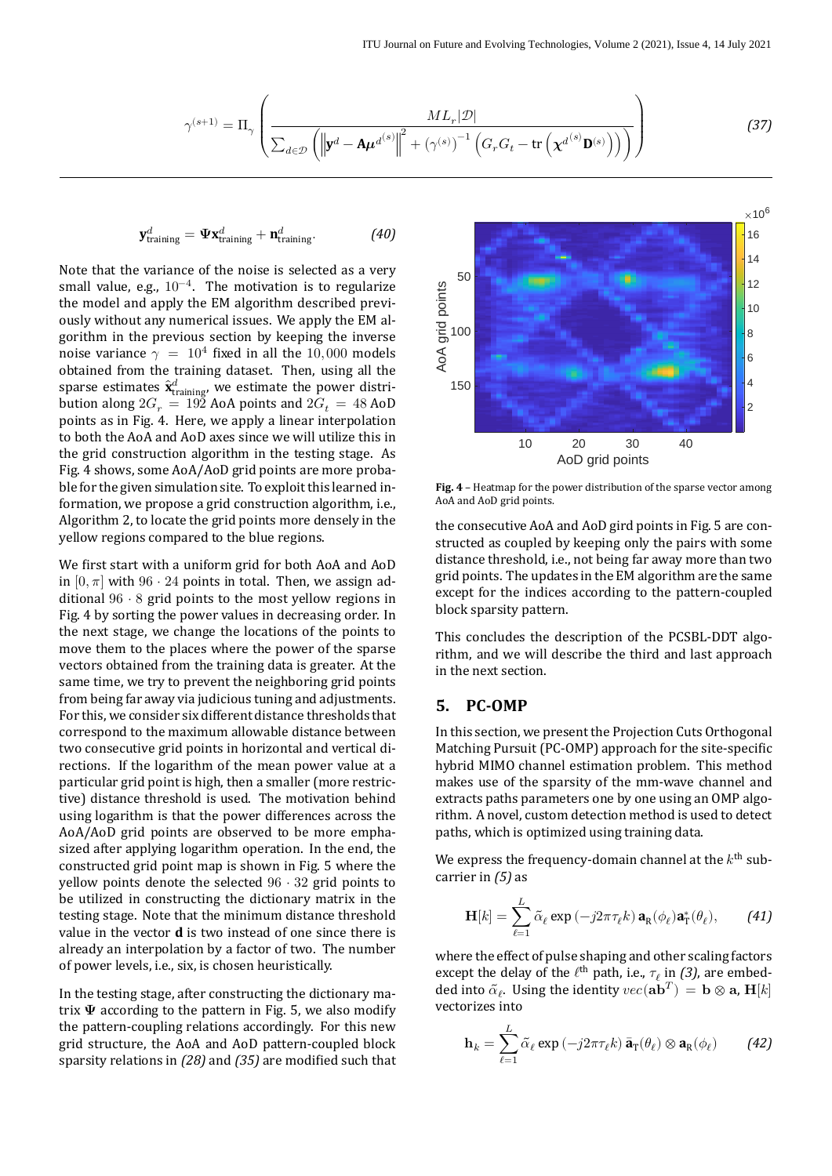$$
\gamma^{(s+1)} = \Pi_{\gamma} \left( \frac{ML_r|\mathcal{D}|}{\sum_{d \in \mathcal{D}} \left( \left\| \mathbf{y}^d - \mathbf{A}\boldsymbol{\mu}^{d(s)} \right\|^2 + \left( \gamma^{(s)} \right)^{-1} \left( G_r G_t - \text{tr} \left( \boldsymbol{\chi}^{d^{(s)}} \mathbf{D}^{(s)} \right) \right) \right)} \right)
$$
(37)

$$
\mathbf{y}_{\text{training}}^d = \mathbf{\Psi} \mathbf{x}_{\text{training}}^d + \mathbf{n}_{\text{training}}^d.
$$
 (40)

Note that the variance of the noise is selected as a very small value, e.g.,  $10^{-4}$ . The motivation is to regularize the model and apply the EM algorithm described previously without any numerical issues. We apply the EM al‐ gorithm in the previous section by keeping the inverse noise variance  $\gamma = 10^4$  fixed in all the 10,000 models obtained from the training dataset. Then, using all the sparse estimates  $\hat{\mathbf{x}}_{\text{training}}^d$ , we estimate the power distribution along  $2G_r = 192$  AoA points and  $2G_t = 48$  AoD points as in Fig. [4.](#page-8-1) Here, we apply a linear interpolation to both the AoA and AoD axes since we will utilize this in the grid construction algorithm in the testing stage. As Fig. [4](#page-8-1) shows, some AoA/AoD grid points are more proba‐ ble for the given simulation site. To exploit this learned in‐ formation, we propose a grid construction algorithm, i.e., Algorithm [2](#page-9-0), to locate the grid points more densely in the yellow regions compared to the blue regions.

We first start with a uniform grid for both AoA and AoD in  $[0, \pi]$  with 96 ⋅ 24 points in total. Then, we assign additional  $96 \cdot 8$  grid points to the most yellow regions in Fig. [4](#page-8-1) by sorting the power values in decreasing order. In the next stage, we change the locations of the points to move them to the places where the power of the sparse vectors obtained from the training data is greater. At the same time, we try to prevent the neighboring grid points from being far away via judicious tuning and adjustments. For this, we consider six different distance thresholds that correspond to the maximum allowable distance between two consecutive grid points in horizontal and vertical di‐ rections. If the logarithm of the mean power value at a particular grid point is high, then a smaller (more restric‐ tive) distance threshold is used. The motivation behind using logarithm is that the power differences across the AoA/AoD grid points are observed to be more empha‐ sized after applying logarithm operation. In the end, the constructed grid point map is shown in Fig. [5](#page-9-1) where the yellow points denote the selected  $96 \cdot 32$  grid points to be utilized in constructing the dictionary matrix in the testing stage. Note that the minimum distance threshold value in the vector **d** is two instead of one since there is already an interpolation by a factor of two. The number of power levels, i.e., six, is chosen heuristically.

In the testing stage, after constructing the dictionary ma‐ trix  $\Psi$  according to the pattern in Fig. [5](#page-9-1), we also modify the pattern‐coupling relations accordingly. For this new grid structure, the AoA and AoD pattern‐coupled block sparsity relations in  $(28)$  and  $(35)$  are modified such that

<span id="page-8-1"></span><span id="page-8-0"></span>

**Fig. 4** – Heatmap for the power distribution of the sparse vector among AoA and AoD grid points.

the consecutive AoA and AoD gird points in Fig. [5](#page-9-1) are con‐ structed as coupled by keeping only the pairs with some distance threshold, i.e., not being far away more than two grid points. The updates in the EM algorithm are the same except for the indices according to the pattern‐coupled block sparsity pattern.

This concludes the description of the PCSBL‐DDT algo‐ rithm, and we will describe the third and last approach in the next section.

## **5. PC‑OMP**

In this section, we present the Projection Cuts Orthogonal Matching Pursuit (PC-OMP) approach for the site-specific hybrid MIMO channel estimation problem. This method makes use of the sparsity of the mm‐wave channel and extracts paths parameters one by one using an OMP algorithm. A novel, custom detection method is used to detect paths, which is optimized using training data.

We express the frequency-domain channel at the  $k^{\text{th}}$  subcarrier in *[\(5\)](#page-2-4)* as

$$
\mathbf{H}[k] = \sum_{\ell=1}^{L} \tilde{\alpha}_{\ell} \exp(-j2\pi\tau_{\ell}k) \mathbf{a}_{\mathbf{R}}(\phi_{\ell}) \mathbf{a}_{\mathbf{T}}^{*}(\theta_{\ell}), \qquad (41)
$$

where the effect of pulse shaping and other scaling factors except the delay of the  $\ell^{\text{th}}$  path, i.e.,  $\tau_{\ell}$  in [\(3\)](#page-2-5), are embedded into  $\tilde{\alpha}_{\ell}$ . Using the identity  $vec(\mathbf{a}\mathbf{b}^T) = \mathbf{b} \otimes \mathbf{a}$ ,  $\mathbf{H}[k]$ vectorizes into

$$
\mathbf{h}_{k} = \sum_{\ell=1}^{L} \tilde{\alpha}_{\ell} \exp\left(-j2\pi\tau_{\ell}k\right) \bar{\mathbf{a}}_{\mathrm{T}}(\theta_{\ell}) \otimes \mathbf{a}_{\mathrm{R}}(\phi_{\ell}) \tag{42}
$$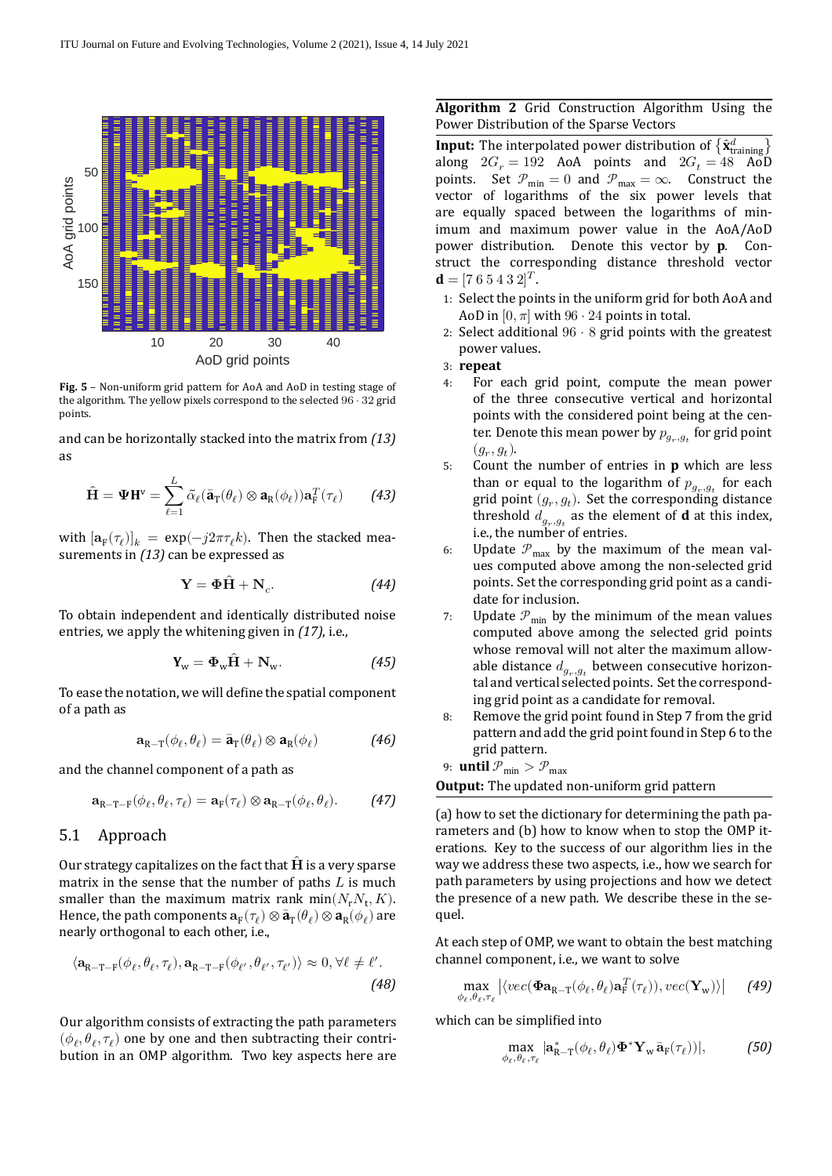<span id="page-9-1"></span>

**Fig. 5** – Non-uniform grid pattern for AoA and AoD in testing stage of the algorithm. The yellow pixels correspond to the selected 96 ⋅ 32 grid points.

and can be horizontally stacked into the matrix from *[\(13\)](#page-3-3)* as

$$
\hat{\mathbf{H}} = \mathbf{\Psi} \mathbf{H}^{\mathsf{v}} = \sum_{\ell=1}^{L} \tilde{\alpha}_{\ell} (\bar{\mathbf{a}}_{\mathrm{T}}(\theta_{\ell}) \otimes \mathbf{a}_{\mathrm{R}}(\phi_{\ell})) \mathbf{a}_{\mathrm{F}}^{T}(\tau_{\ell}) \qquad (43)
$$

with  $[\mathbf{a}_{\mathrm{F}}(\tau_{\ell})]_k = \exp(-j2\pi \tau_{\ell} k)$ . Then the stacked measurements in *[\(13\)](#page-3-3)* can be expressed as

$$
Y = \Phi \hat{H} + N_c.
$$
 (44)

To obtain independent and identically distributed noise entries, we apply the whitening given in *[\(17\)](#page-3-4)*, i.e.,

$$
\mathbf{Y}_{\mathrm{w}} = \mathbf{\Phi}_{\mathrm{w}} \hat{\mathbf{H}} + \mathbf{N}_{\mathrm{w}}.\tag{45}
$$

To ease the notation, we will define the spatial component of a path as

$$
\mathbf{a}_{R-T}(\phi_{\ell}, \theta_{\ell}) = \bar{\mathbf{a}}_{T}(\theta_{\ell}) \otimes \mathbf{a}_{R}(\phi_{\ell})
$$
 (46)

and the channel component of a path as

$$
\mathbf{a}_{R-T-F}(\phi_{\ell}, \theta_{\ell}, \tau_{\ell}) = \mathbf{a}_{F}(\tau_{\ell}) \otimes \mathbf{a}_{R-T}(\phi_{\ell}, \theta_{\ell}). \tag{47}
$$

## 5.1 Approach

Our strategy capitalizes on the fact that  $H$  is a very sparse matrix in the sense that the number of paths  $L$  is much smaller than the maximum matrix rank  $min(N_rN_t, K)$ . Hence, the path components  $\mathbf{a}_F(\tau_\ell) \otimes \bar{\mathbf{a}}_T(\theta_\ell) \otimes \mathbf{a}_R(\phi_\ell)$  are nearly orthogonal to each other, i.e.,

$$
\langle \mathbf{a}_{R-T-F}(\phi_{\ell}, \theta_{\ell}, \tau_{\ell}), \mathbf{a}_{R-T-F}(\phi_{\ell'}, \theta_{\ell'}, \tau_{\ell'}) \rangle \approx 0, \forall \ell \neq \ell'.
$$
\n(48)

Our algorithm consists of extracting the path parameters  $(\phi_{\ell}, \theta_{\ell}, \tau_{\ell})$  one by one and then subtracting their contribution in an OMP algorithm. Two key aspects here are

#### <span id="page-9-0"></span>**Algorithm 2** Grid Construction Algorithm Using the Power Distribution of the Sparse Vectors

**Input:** The interpolated power distribution of  $\{\hat{\mathbf{x}}_{\text{training}}^d\}$ along  $2G_r = 192$  AoA points and  $2G_t = 48$  AoD points. Set  $\mathcal{P}_{\min} = 0$  and  $\mathcal{P}_{\max} = \infty$ . Construct the vector of logarithms of the six power levels that are equally spaced between the logarithms of min‐ imum and maximum power value in the AoA/AoD power distribution. Denote this vector by **p**. Con‐ struct the corresponding distance threshold vector **.** 

- 1: Select the points in the uniform grid for both AoA and AoD in  $[0, \pi]$  with  $96 \cdot 24$  points in total.
- 2: Select additional  $96 \cdot 8$  grid points with the greatest power values.
- 3: **repeat**
- 4: For each grid point, compute the mean power of the three consecutive vertical and horizontal points with the considered point being at the center. Denote this mean power by  $p_{g_r, g_t}$  for grid point  $(g_r, g_t)$ .
- 5: Count the number of entries in **p** which are less than or equal to the logarithm of  $p_{g_r,g_t}$  for each grid point  $(g_r, g_t)$ . Set the corresponding distance threshold  $d_{g_r, g_t}$  as the element of **d** at this index, i.e., the number of entries.
- 6: Update  $P_{\text{max}}$  by the maximum of the mean values computed above among the non‐selected grid points. Set the corresponding grid point as a candi‐ date for inclusion.
- 7: Update  $P_{\text{min}}$  by the minimum of the mean values computed above among the selected grid points whose removal will not alter the maximum allow‐ able distance  $d_{g_r, g_t}$  between consecutive horizontal and vertical selected points. Set the correspond‐ ing grid point as a candidate for removal.
- 8: Remove the grid point found in Step 7 from the grid pattern and add the grid point found in Step 6 to the grid pattern.

9: **until**  $\mathcal{P}_{\text{min}} > \mathcal{P}_{\text{max}}$ 

**Output:** The updated non-uniform grid pattern

(a) how to set the dictionary for determining the path pa‐ rameters and (b) how to know when to stop the OMP it‐ erations. Key to the success of our algorithm lies in the way we address these two aspects, i.e., how we search for path parameters by using projections and how we detect the presence of a new path. We describe these in the sequel.

At each step of OMP, we want to obtain the best matching channel component, i.e., we want to solve

$$
\max_{\phi_{\ell}, \theta_{\ell}, \tau_{\ell}} \left| \langle vec(\boldsymbol{\Phi} \mathbf{a}_{R-T}(\phi_{\ell}, \theta_{\ell}) \mathbf{a}_{F}^{T}(\tau_{\ell})), vec(\mathbf{Y}_{w}) \rangle \right| \qquad \text{(49)}
$$

which can be simplified into

$$
\max_{\phi_{\ell}, \theta_{\ell}, \tau_{\ell}} |\mathbf{a}_{\textrm{R-T}}^{*}(\phi_{\ell}, \theta_{\ell}) \mathbf{\Phi}^{*} \mathbf{Y}_{\textrm{w}} \bar{\mathbf{a}}_{\textrm{F}}(\tau_{\ell}))|, \tag{50}
$$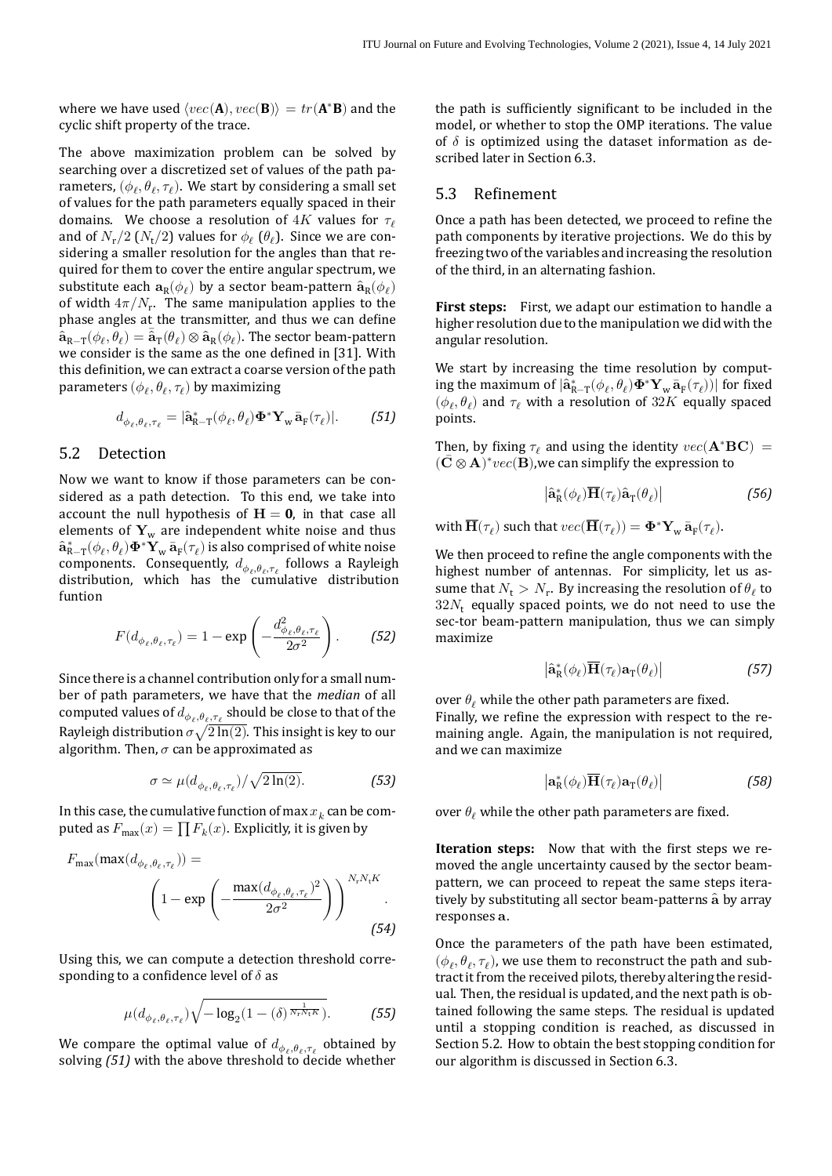where we have used  $\langle vec(\mathbf{A}), vec(\mathbf{B}) \rangle = tr(\mathbf{A}^* \mathbf{B})$  and the cyclic shift property of the trace.

The above maximization problem can be solved by searching over a discretized set of values of the path parameters,  $(\phi_\ell, \theta_\ell, \tau_\ell)$ . We start by considering a small set of values for the path parameters equally spaced in their domains. We choose a resolution of  $4K$  values for  $\tau_{\ell}$ and of  $N_r/2$   $(N_t/2)$  values for  $\phi_\ell$  ( $\theta_\ell$ ). Since we are considering a smaller resolution for the angles than that required for them to cover the entire angular spectrum, we substitute each  $\mathbf{a}_\text{R}(\phi_\ell)$  by a sector beam-pattern  $\hat{\mathbf{a}}_\text{R}(\phi_\ell)$ of width  $4\pi/N_r$ . The same manipulation applies to the phase angles at the transmitter, and thus we can define  $\hat{\mathbf{a}}_{\mathrm{R}-\mathrm{T}}(\phi_\ell, \theta_\ell) = \bar{\mathbf{a}}_{\mathrm{T}}(\theta_\ell) \otimes \hat{\mathbf{a}}_{\mathrm{R}}(\phi_\ell)$ . The sector beam-pattern we consider is the same as the one defined in [\[31](#page-14-8)]. With this definition, we can extract a coarse version of the path parameters  $(\phi_\ell, \theta_\ell, \tau_\ell)$  by maximizing

$$
d_{\phi_{\ell}, \theta_{\ell}, \tau_{\ell}} = |\hat{\mathbf{a}}_{\mathsf{R}-\mathsf{T}}^*(\phi_{\ell}, \theta_{\ell}) \mathbf{\Phi}^* \mathbf{Y}_{\mathsf{w}} \bar{\mathbf{a}}_{\mathsf{F}}(\tau_{\ell})|.
$$
 (51)

## <span id="page-10-1"></span>5.2 Detection

 $\mathbf{\hat{a}}_{R-T}^*(\phi_\ell, \theta_\ell) \mathbf{\Phi}^* \mathbf{Y}_w \mathbf{\bar{a}}_F(\tau_\ell)$  is also comprised of white noise Now we want to know if those parameters can be con‐ sidered as a path detection. To this end, we take into account the null hypothesis of  $H = 0$ , in that case all elements of  $Y_w$  are independent white noise and thus components. Consequently,  $d_{\phi_{\ell},\theta_{\ell},\tau_{\ell}}$  follows a Rayleigh distribution, which has the cumulative distribution funtion

$$
F(d_{\phi_{\ell}, \theta_{\ell}, \tau_{\ell}}) = 1 - \exp\left(-\frac{d_{\phi_{\ell}, \theta_{\ell}, \tau_{\ell}}^2}{2\sigma^2}\right).
$$
 (52)

Since there is a channel contribution only for a small num‐ ber of path parameters, we have that the *median* of all computed values of  $d_{\phi_{\ell},\theta_{\ell},\tau_{\ell}}$  should be close to that of the Rayleigh distribution  $\sigma \sqrt{2 \ln(2)}$ . This insight is key to our algorithm. Then,  $\sigma$  can be approximated as

$$
\sigma \simeq \mu(d_{\phi_{\ell}, \theta_{\ell}, \tau_{\ell}})/\sqrt{2\ln(2)}.
$$
 (53)

In this case, the cumulative function of max  $x_k$  can be computed as  $F_{\text{max}}(x) = \prod F_k(x)$ . Explicitly, it is given by

$$
F_{\max}(\max(d_{\phi_{\ell}, \theta_{\ell}, \tau_{\ell}})) =
$$

$$
\left(1 - \exp\left(-\frac{\max(d_{\phi_{\ell}, \theta_{\ell}, \tau_{\ell}})^2}{2\sigma^2}\right)\right)^{N_r N_t K}.
$$
(54)

Using this, we can compute a detection threshold corre‐ sponding to a confidence level of  $\delta$  as

$$
\mu(d_{\phi_{\ell}, \theta_{\ell}, \tau_{\ell}}) \sqrt{-\log_2(1 - (\delta)^{\frac{1}{N_{\Gamma} N_{\rm t} K}})}.
$$
 (55)

We compare the optimal value of  $d_{\phi_{\ell},\theta_{\ell},\tau_{\ell}}$  obtained by solving [\(51\)](#page-10-0) with the above threshold to decide whether the path is sufficiently significant to be included in the model, or whether to stop the OMP iterations. The value of  $\delta$  is optimized using the dataset information as described later in Section [6.3](#page-12-0).

## 5.3 Refinement

Once a path has been detected, we proceed to refine the path components by iterative projections. We do this by freezing two of the variables and increasing the resolution of the third, in an alternating fashion.

**First steps:** First, we adapt our estimation to handle a higher resolution due to the manipulation we did with the angular resolution.

We start by increasing the time resolution by computing the maximum of  $|\hat{\mathbf{a}}_{\textrm{R--T}}^*(\phi_{\ell},\theta_{\ell})\mathbf{\Phi}^*\mathbf{Y}_{\textrm{w}}\bar{\mathbf{a}}_{\textrm{F}}(\tau_{\ell}))|$  for fixed  $(\phi_{\ell}, \theta_{\ell})$  and  $\tau_{\ell}$  with a resolution of  $32K$  equally spaced points.

<span id="page-10-0"></span>Then, by fixing  $\tau_{\ell}$  and using the identity  $vec(\mathbf{A}^* \mathbf{B} \mathbf{C}) =$  $({\bf C} \otimes {\bf A})^* vec({\bf B})$ , we can simplify the expression to

$$
\left| \hat{\mathbf{a}}_{\mathsf{R}}^* (\phi_{\ell}) \overline{\mathbf{H}}(\tau_{\ell}) \hat{\mathbf{a}}_{\mathsf{T}}(\theta_{\ell}) \right| \tag{56}
$$

with  $\overline{\mathbf{H}}(\tau_{\ell})$  such that  $vec(\overline{\mathbf{H}}(\tau_{\ell})) = \mathbf{\Phi}^* \mathbf{Y}_{w} \overline{\mathbf{a}}_{F}(\tau_{\ell}).$ 

We then proceed to refine the angle components with the highest number of antennas. For simplicity, let us assume that  $N_t > N_r$ . By increasing the resolution of  $\theta_\ell$  to  $32N<sub>r</sub>$  equally spaced points, we do not need to use the sec-tor beam-pattern manipulation, thus we can simply maximize

$$
\left| \hat{\mathbf{a}}_{\mathsf{R}}^*(\phi_\ell) \overline{\mathbf{H}}(\tau_\ell) \mathbf{a}_{\mathsf{T}}(\theta_\ell) \right| \tag{57}
$$

over  $\theta_{\ell}$  while the other path parameters are fixed. Finally, we refine the expression with respect to the remaining angle. Again, the manipulation is not required, and we can maximize

$$
\left| \mathbf{a}_{\mathsf{R}}^*(\phi_\ell) \overline{\mathbf{H}}(\tau_\ell) \mathbf{a}_{\mathsf{T}}(\theta_\ell) \right| \tag{58}
$$

over  $\theta_{\ell}$  while the other path parameters are fixed.

**Iteration steps:** Now that with the first steps we removed the angle uncertainty caused by the sector beam‐ pattern, we can proceed to repeat the same steps iteratively by substituting all sector beam-patterns  $\hat{a}$  by array responses a.

Once the parameters of the path have been estimated,  $(\phi_{\ell}, \theta_{\ell}, \tau_{\ell})$ , we use them to reconstruct the path and subtract it from the received pilots, thereby altering the resid‐ ual. Then, the residual is updated, and the next path is ob‐ tained following the same steps. The residual is updated until a stopping condition is reached, as discussed in Section [5.2](#page-10-1). How to obtain the best stopping condition for our algorithm is discussed in Section [6.3.](#page-12-0)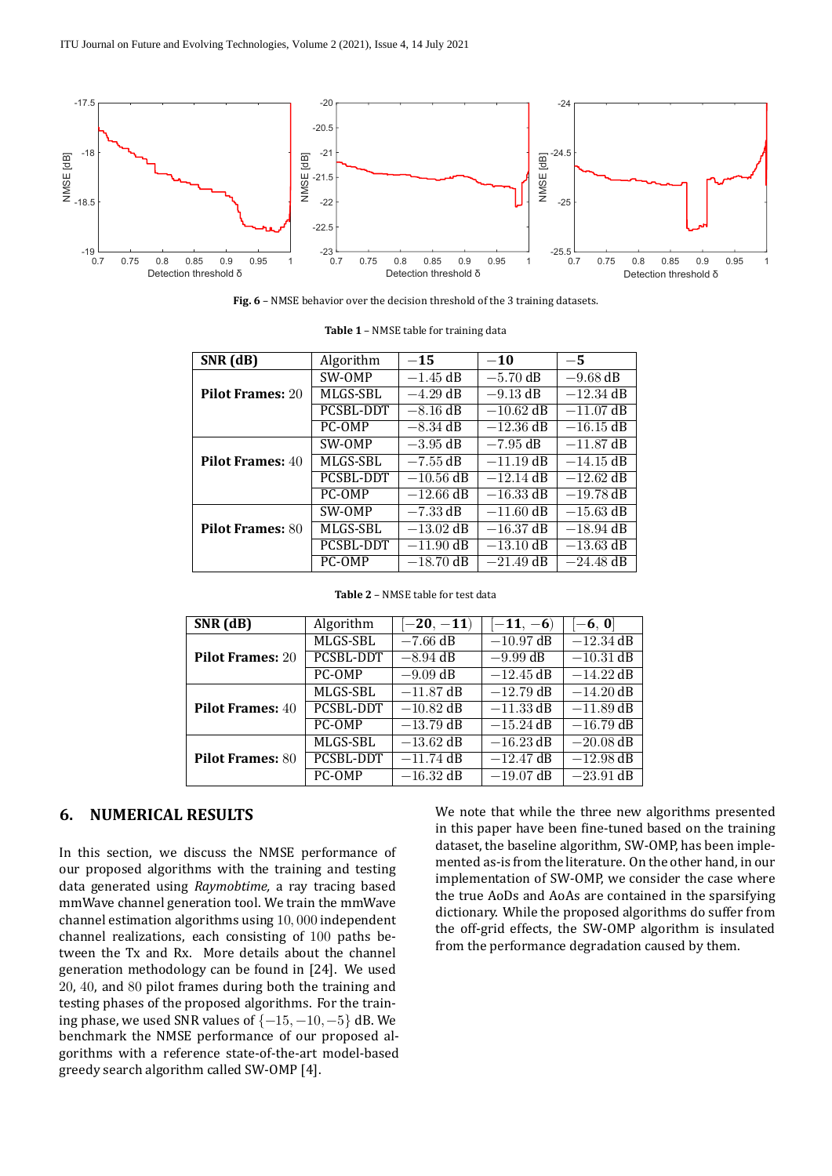<span id="page-11-2"></span>

**Fig. 6** – NMSE behavior over the decision threshold of the 3 training datasets.

<span id="page-11-0"></span>

| SNR (dB)                | Algorithm        | $-15$       | $-10$       | $-5$        |
|-------------------------|------------------|-------------|-------------|-------------|
|                         | SW-OMP           | $-1.45$ dB  | $-5.70$ dB  | $-9.68$ dB  |
| <b>Pilot Frames: 20</b> | MLGS-SBL         | $-4.29$ dB  | $-9.13$ dB  | $-12.34$ dB |
|                         | <b>PCSBL-DDT</b> | $-8.16$ dB  | $-10.62$ dB | $-11.07$ dB |
|                         | PC-OMP           | $-8.34$ dB  | $-12.36$ dB | $-16.15$ dB |
| <b>Pilot Frames: 40</b> | SW-OMP           | $-3.95$ dB  | $-7.95$ dB  | $-11.87$ dB |
|                         | MLGS-SBL         | $-7.55$ dB  | $-11.19$ dB | $-14.15$ dB |
|                         | <b>PCSBL-DDT</b> | $-10.56$ dB | $-12.14$ dB | $-12.62$ dB |
|                         | PC-OMP           | $-12.66$ dB | $-16.33$ dB | $-19.78$ dB |
| <b>Pilot Frames: 80</b> | SW-OMP           | $-7.33$ dB  | $-11.60$ dB | $-15.63$ dB |
|                         | MLGS-SBL         | $-13.02$ dB | $-16.37$ dB | $-18.94$ dB |
|                         | <b>PCSBL-DDT</b> | $-11.90$ dB | $-13.10$ dB | $-13.63$ dB |
|                         | PC-OMP           | $-18.70$ dB | $-21.49$ dB | $-24.48$ dB |

| <b>Table 1 - NMSE table for training data</b> |
|-----------------------------------------------|
|-----------------------------------------------|

<span id="page-11-1"></span>

| $SNR$ (dB)              | Algorithm        | $[-20, -11)$ | $[-11, -6)$ | $[-6, 0]$   |
|-------------------------|------------------|--------------|-------------|-------------|
| <b>Pilot Frames: 20</b> | MLGS-SBL         | $-7.66$ dB   | $-10.97$ dB | $-12.34$ dB |
|                         | PCSBL-DDT        | $-8.94$ dB   | $-9.99$ dB  | $-10.31$ dB |
|                         | PC-OMP           | $-9.09$ dB   | $-12.45$ dB | $-14.22$ dB |
| <b>Pilot Frames: 40</b> | MLGS-SBL         | $-11.87$ dB  | $-12.79$ dB | $-14.20$ dB |
|                         | <b>PCSBL-DDT</b> | $-10.82$ dB  | $-11.33$ dB | $-11.89$ dB |
|                         | PC-OMP           | $-13.79$ dB  | $-15.24$ dB | $-16.79$ dB |
| <b>Pilot Frames: 80</b> | MLGS-SBL         | $-13.62$ dB  | $-16.23$ dB | $-20.08$ dB |
|                         | PCSBL-DDT        | $-11.74$ dB  | $-12.47$ dB | $-12.98$ dB |
|                         | PC-OMP           | $-16.32$ dB  | $-19.07$ dB | $-23.91$ dB |

## **6. NUMERICAL RESULTS**

In this section, we discuss the NMSE performance of our proposed algorithms with the training and testing data generated using *Raymobtime,* a ray tracing based mmWave channel generation tool. We train the mmWave channel estimation algorithms using 10, 000 independent channel realizations, each consisting of 100 paths be‐ tween the Tx and Rx. More details about the channel generation methodology can be found in [[24\]](#page-14-1). We used 20, 40, and 80 pilot frames during both the training and testing phases of the proposed algorithms. For the train‐ ing phase, we used SNR values of  $\{-15, -10, -5\}$  dB. We benchmark the NMSE performance of our proposed al‐ gorithms with a reference state‐of‐the‐art model‐based greedy search algorithm called SW-OMP [4].

We note that while the three new algorithms presented in this paper have been fine-tuned based on the training dataset, the baseline algorithm, SW‐OMP, has been imple‐ mented as‐is from the literature. On the other hand, in our implementation of SW‐OMP, we consider the case where the true AoDs and AoAs are contained in the sparsifying dictionary. While the proposed algorithms do suffer from the off‐grid effects, the SW‐OMP algorithm is insulated from the performance degradation caused by them.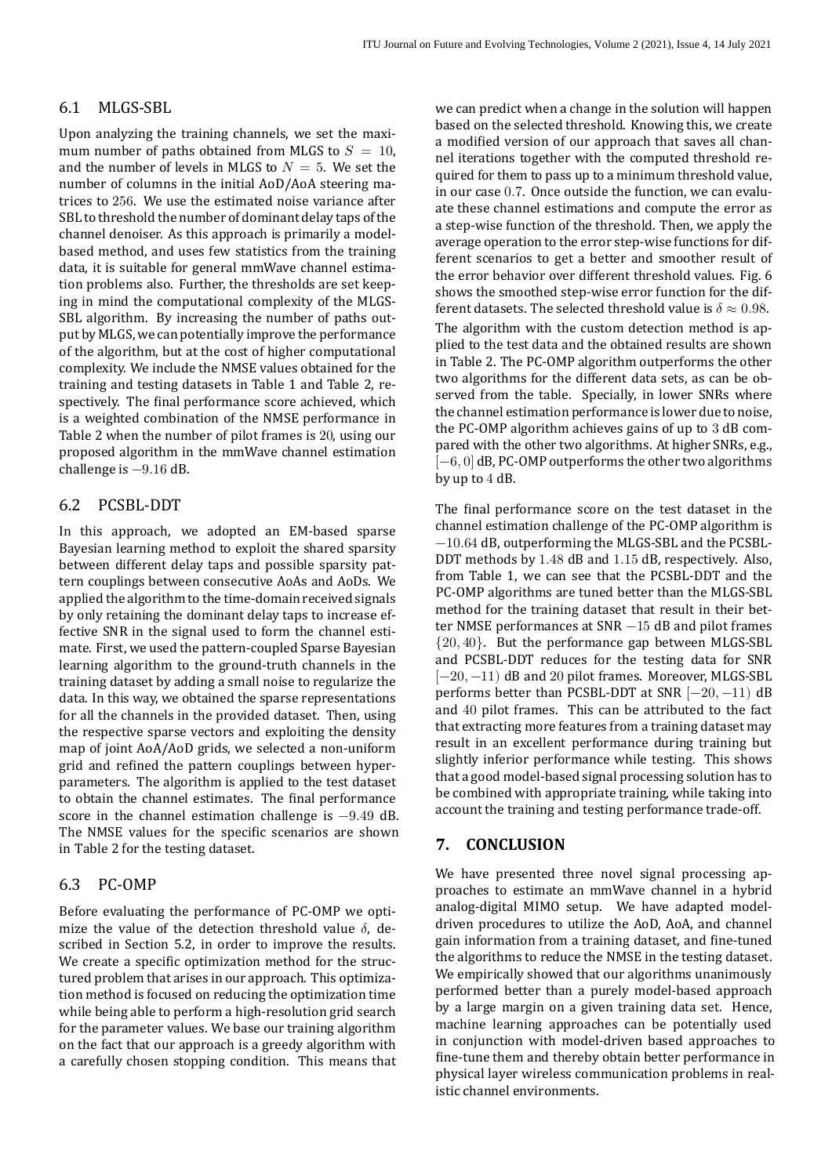## 6.1 MLGS‐SBL

Upon analyzing the training channels, we set the maxi‐ mum number of paths obtained from MLGS to  $S = 10$ , and the number of levels in MLGS to  $N = 5$ . We set the number of columns in the initial AoD/AoA steering ma‐ trices to 256. We use the estimated noise variance after SBL to threshold the number of dominant delay taps of the channel denoiser. As this approach is primarily a model‐ based method, and uses few statistics from the training data, it is suitable for general mmWave channel estimation problems also. Further, the thresholds are set keep‐ ing in mind the computational complexity of the MLGS‐ SBL algorithm. By increasing the number of paths output by MLGS, we can potentially improve the performance of the algorithm, but at the cost of higher computational complexity. We include the NMSE values obtained for the training and testing datasets in Table [1](#page-11-0) and Table [2,](#page-11-1) re‐ spectively. The final performance score achieved, which is a weighted combination of the NMSE performance in Table [2](#page-11-1) when the number of pilot frames is 20, using our proposed algorithm in the mmWave channel estimation challenge is −9.16 dB.

## 6.2 PCSBL‐DDT

In this approach, we adopted an EM‐based sparse Bayesian learning method to exploit the shared sparsity between different delay taps and possible sparsity pat‐ tern couplings between consecutive AoAs and AoDs. We applied the algorithm to the time‐domain received signals by only retaining the dominant delay taps to increase ef‐ fective SNR in the signal used to form the channel esti‐ mate. First, we used the pattern-coupled Sparse Bayesian learning algorithm to the ground‐truth channels in the training dataset by adding a small noise to regularize the data. In this way, we obtained the sparse representations for all the channels in the provided dataset. Then, using the respective sparse vectors and exploiting the density map of joint AoA/AoD grids, we selected a non-uniform grid and refined the pattern couplings between hyperparameters. The algorithm is applied to the test dataset to obtain the channel estimates. The final performance score in the channel estimation challenge is −9.49 dB. The NMSE values for the specific scenarios are shown in Table [2](#page-11-1) for the testing dataset.

## <span id="page-12-0"></span>6.3 PC‐OMP

Before evaluating the performance of PC‐OMP we opti‐ mize the value of the detection threshold value  $\delta$ , described in Section [5.2,](#page-10-1) in order to improve the results. We create a specific optimization method for the structured problem that arises in our approach. This optimiza‐ tion method is focused on reducing the optimization time while being able to perform a high-resolution grid search for the parameter values. We base our training algorithm on the fact that our approach is a greedy algorithm with a carefully chosen stopping condition. This means that we can predict when a change in the solution will happen based on the selected threshold. Knowing this, we create a modified version of our approach that saves all channel iterations together with the computed threshold re‐ quired for them to pass up to a minimum threshold value, in our case 0.7. Once outside the function, we can evaluate these channel estimations and compute the error as a step‐wise function of the threshold. Then, we apply the average operation to the error step‐wise functions for dif‐ ferent scenarios to get a better and smoother result of the error behavior over different threshold values. Fig. [6](#page-11-2) shows the smoothed step‐wise error function for the dif‐ ferent datasets. The selected threshold value is  $\delta \approx 0.98$ . The algorithm with the custom detection method is applied to the test data and the obtained results are shown in Table [2](#page-11-1). The PC‐OMP algorithm outperforms the other two algorithms for the different data sets, as can be ob‐ served from the table. Specially, in lower SNRs where the channel estimation performance is lower due to noise, the PC-OMP algorithm achieves gains of up to 3 dB compared with the other two algorithms. At higher SNRs, e.g.,  $[-6, 0]$  dB, PC-OMP outperforms the other two algorithms by up to 4 dB.

The final performance score on the test dataset in the channel estimation challenge of the PC‐OMP algorithm is −10.64 dB, outperforming the MLGS‐SBL and the PCSBL‐ DDT methods by 1.48 dB and 1.15 dB, respectively. Also, from Table [1](#page-11-0), we can see that the PCSBL‐DDT and the PC‐OMP algorithms are tuned better than the MLGS‐SBL method for the training dataset that result in their better NMSE performances at SNR −15 dB and pilot frames {20, 40}. But the performance gap between MLGS‐SBL and PCSBL‐DDT reduces for the testing data for SNR [-20, -11) dB and 20 pilot frames. Moreover, MLGS-SBL performs better than PCSBL-DDT at SNR  $[-20, -11)$  dB and 40 pilot frames. This can be attributed to the fact that extracting more features from a training dataset may result in an excellent performance during training but slightly inferior performance while testing. This shows that a good model‐based signal processing solution has to be combined with appropriate training, while taking into account the training and testing performance trade‐off.

## **7. CONCLUSION**

We have presented three novel signal processing approaches to estimate an mmWave channel in a hybrid analog‐digital MIMO setup. We have adapted model‐ driven procedures to utilize the AoD, AoA, and channel gain information from a training dataset, and fine-tuned the algorithms to reduce the NMSE in the testing dataset. We empirically showed that our algorithms unanimously performed better than a purely model‐based approach by a large margin on a given training data set. Hence, machine learning approaches can be potentially used in conjunction with model‐driven based approaches to fine-tune them and thereby obtain better performance in physical layer wireless communication problems in realistic channel environments.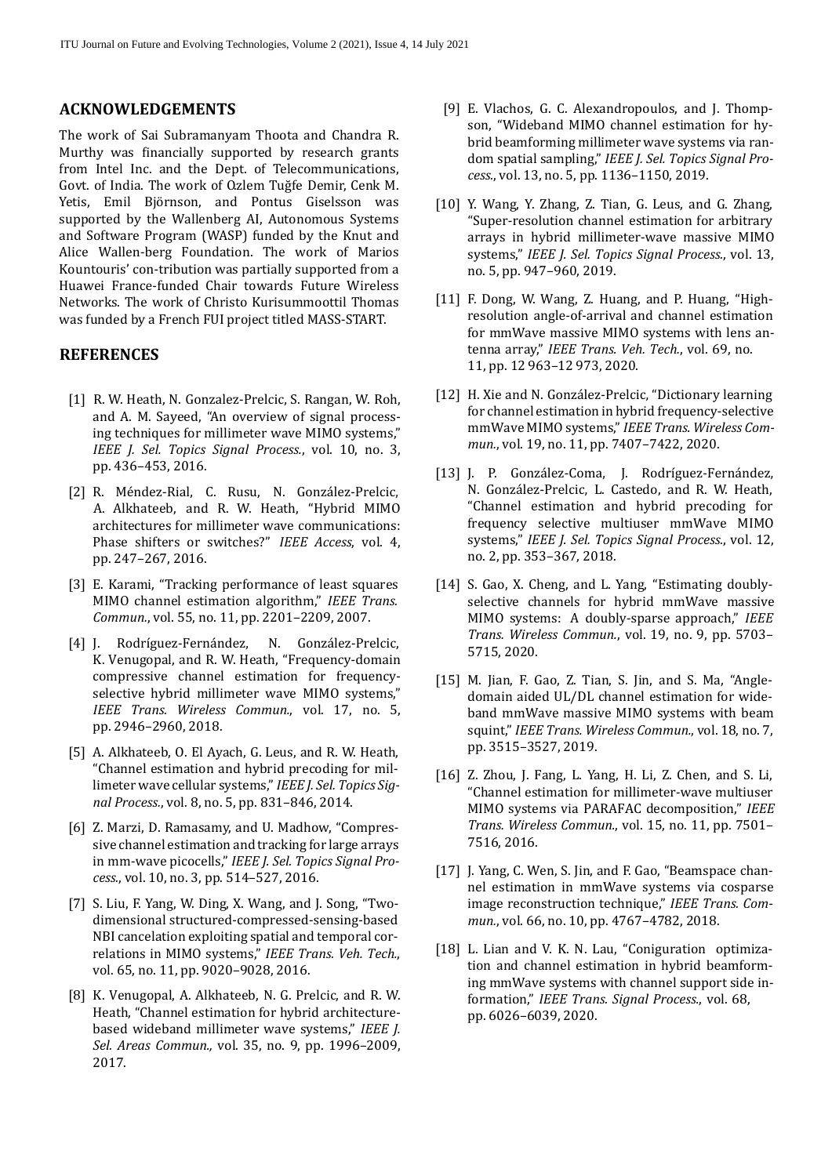#### **ACKNOWLEDGEMENTS**

The work of Sai Subramanyam Thoota and Chandra R. Murthy was financially supported by research grants from Intel Inc. and the Dept. of Telecommunications, Govt. of India. The work of Ozlem Tuğfe Demir, Cenk M. Yetis, Emil Björnson, and Pontus Giselsson was supported by the Wallenberg AI, Autonomous Systems and Software Program (WASP) funded by the Knut and Alice Wallen‐berg Foundation. The work of Marios Kountouris' con‐tribution was partially supported from a Huawei France‐funded Chair towards Future Wireless Networks. The work of Christo Kurisummoottil Thomas was funded by a French FUI project titled MASS‐START.

#### **REFERENCES**

- <span id="page-13-0"></span>[1] R. W. Heath, N. Gonzalez-Prelcic, S. Rangan, W. Roh, and A. M. Sayeed, "An overview of signal process‐ ing techniques for millimeter wave MIMO systems," *IEEE J. Sel. Topics Signal Process.*, vol. 10, no. 3, pp. 436–453, 2016.
- <span id="page-13-1"></span>[2] R. Méndez‐Rial, C. Rusu, N. González‐Prelcic, A. Alkhateeb, and R. W. Heath, "Hybrid MIMO architectures for millimeter wave communications: Phase shifters or switches?" *IEEE Access*, vol. 4, pp. 247–267, 2016.
- <span id="page-13-2"></span>[3] E. Karami, "Tracking performance of least squares MIMO channel estimation algorithm," *IEEE Trans. Commun.*, vol. 55, no. 11, pp. 2201–2209, 2007.
- <span id="page-13-3"></span>[4] J. Rodríguez‐Fernández, N. González‐Prelcic, K. Venugopal, and R. W. Heath, "Frequency‐domain compressive channel estimation for frequency‐ selective hybrid millimeter wave MIMO systems," *IEEE Trans. Wireless Commun.*, vol. 17, no. 5, pp. 2946–2960, 2018.
- <span id="page-13-4"></span>[5] A. Alkhateeb, O. El Ayach, G. Leus, and R. W. Heath, "Channel estimation and hybrid precoding for mil‐ limeter wave cellular systems," *IEEE J. Sel. Topics Sig‑ nal Process.*, vol. 8, no. 5, pp. 831–846, 2014.
- <span id="page-13-5"></span>[6] Z. Marzi, D. Ramasamy, and U. Madhow, "Compres‐ sive channel estimation and tracking for large arrays in mm‐wave picocells," *IEEE J. Sel. Topics Signal Pro‑ cess.*, vol. 10, no. 3, pp. 514–527, 2016.
- <span id="page-13-6"></span>[7] S. Liu, F. Yang, W. Ding, X. Wang, and J. Song, "Twodimensional structured‐compressed‐sensing‐based NBI cancelation exploiting spatial and temporal cor‐ relations in MIMO systems," *IEEE Trans. Veh. Tech.*, vol. 65, no. 11, pp. 9020–9028, 2016.
- <span id="page-13-7"></span>[8] K. Venugopal, A. Alkhateeb, N. G. Prelcic, and R. W. Heath, "Channel estimation for hybrid architecture‐ based wideband millimeter wave systems," *IEEE J. Sel. Areas Commun.,* vol. 35, no. 9, pp. 1996–2009, 2017.
- <span id="page-13-8"></span>[9] E. Vlachos, G. C. Alexandropoulos, and J. Thompson, "Wideband MIMO channel estimation for hy‐ brid beamforming millimeter wave systems via ran‐ dom spatial sampling," *IEEE J. Sel. Topics Signal Pro‑ cess.*, vol. 13, no. 5, pp. 1136–1150, 2019.
- [10] Y. Wang, Y. Zhang, Z. Tian, G. Leus, and G. Zhang, "Super‐resolution channel estimation for arbitrary arrays in hybrid millimeter‐wave massive MIMO systems," *IEEE J. Sel. Topics Signal Process.*, vol. 13, no. 5, pp. 947–960, 2019.
- [11] F. Dong, W. Wang, Z. Huang, and P. Huang, "Highresolution angle‐of‐arrival and channel estimation for mmWave massive MIMO systems with lens an‐ tenna array," *IEEE Trans. Veh. Tech.*, vol. 69, no. 11, pp. 12 963–12 973, 2020.
- [12] H. Xie and N. González-Prelcic, "Dictionary learning for channel estimation in hybrid frequency‐selective mmWave MIMO systems," *IEEE Trans. Wireless Com‑ mun.*, vol. 19, no. 11, pp. 7407–7422, 2020.
- [13] J. P. González-Coma, J. Rodríguez-Fernández, N. González‐Prelcic, L. Castedo, and R. W. Heath, "Channel estimation and hybrid precoding for frequency selective multiuser mmWave MIMO systems," *IEEE J. Sel. Topics Signal Process.*, vol. 12, no. 2, pp. 353–367, 2018.
- [14] S. Gao, X. Cheng, and L. Yang, "Estimating doublyselective channels for hybrid mmWave massive MIMO systems: A doubly‐sparse approach," *IEEE Trans. Wireless Commun.*, vol. 19, no. 9, pp. 5703– 5715, 2020.
- [15] M. Jian, F. Gao, Z. Tian, S. Jin, and S. Ma, "Angledomain aided UL/DL channel estimation for wide‐ band mmWave massive MIMO systems with beam squint," *IEEE Trans. Wireless Commun.*, vol. 18, no. 7, pp. 3515–3527, 2019.
- [16] Z. Zhou, J. Fang, L. Yang, H. Li, Z. Chen, and S. Li, "Channel estimation for millimeter‐wave multiuser MIMO systems via PARAFAC decomposition," *IEEE Trans. Wireless Commun.*, vol. 15, no. 11, pp. 7501– 7516, 2016.
- [17] J. Yang, C. Wen, S. Jin, and F. Gao, "Beamspace channel estimation in mmWave systems via cosparse image reconstruction technique," *IEEE Trans. Com‑ mun.*, vol. 66, no. 10, pp. 4767–4782, 2018.
- [18] L. Lian and V. K. N. Lau, "Coniguration optimization and channel estimation in hybrid beamform‐ ing mmWave systems with channel support side in‐ formation," *IEEE Trans. Signal Process.*, vol. 68, pp. 6026–6039, 2020.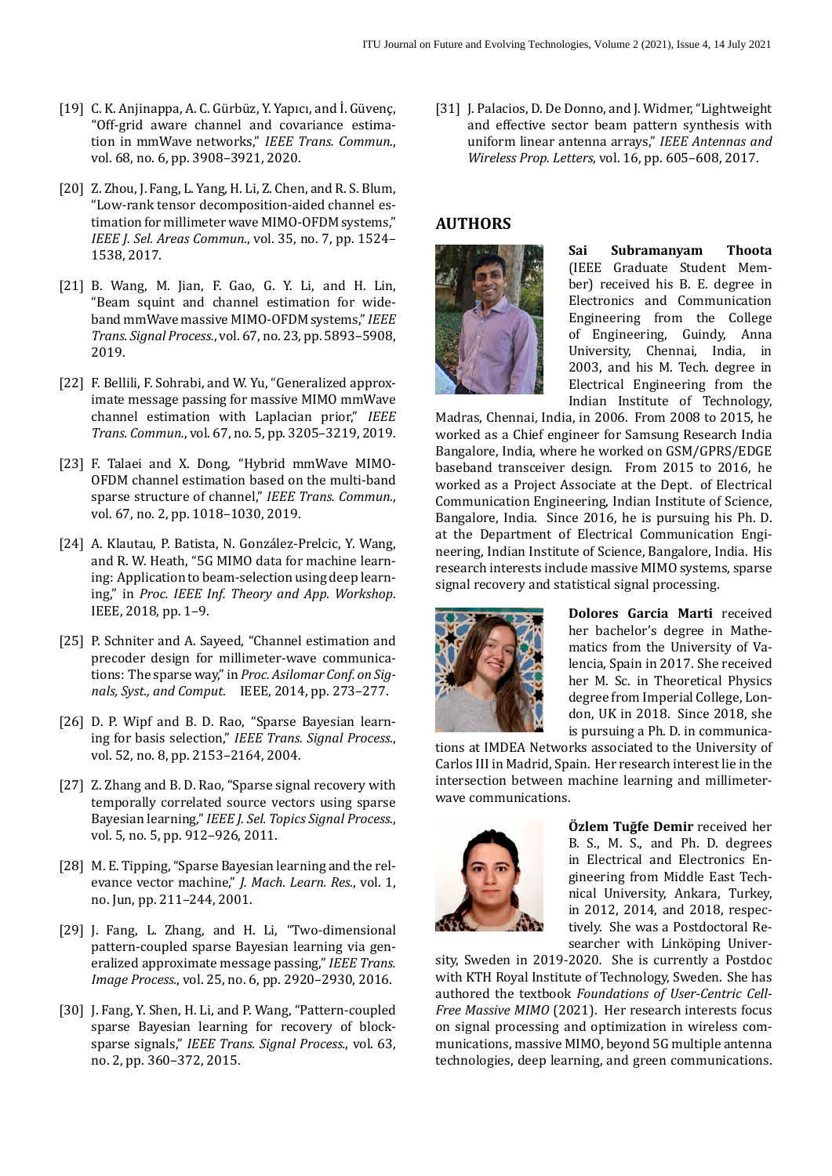- [19] C. K. Anjinappa, A. C. Gürbüz, Y. Yapıcı, and İ. Güvenç, "Off‐grid aware channel and covariance estima‐ tion in mmWave networks," *IEEE Trans. Commun.*, vol. 68, no. 6, pp. 3908–3921, 2020.
- [20] Z. Zhou, J. Fang, L. Yang, H. Li, Z. Chen, and R. S. Blum, "Low‐rank tensor decomposition‐aided channel es‐ timation for millimeter wave MIMO‐OFDM systems," *IEEE J. Sel. Areas Commun.*, vol. 35, no. 7, pp. 1524– 1538, 2017.
- [21] B. Wang, M. Jian, F. Gao, G. Y. Li, and H. Lin, "Beam squint and channel estimation for wide‐ band mmWave massive MIMO‐OFDM systems,"*IEEE Trans. Signal Process.*, vol. 67, no. 23, pp. 5893–5908, 2019.
- [22] F. Bellili, F. Sohrabi, and W. Yu, "Generalized approximate message passing for massive MIMO mmWave channel estimation with Laplacian prior," *IEEE Trans. Commun.*, vol. 67, no. 5, pp. 3205–3219, 2019.
- <span id="page-14-0"></span>[23] F. Talaei and X. Dong, "Hybrid mmWave MIMO‐ OFDM channel estimation based on the multi‐band sparse structure of channel," *IEEE Trans. Commun.*, vol. 67, no. 2, pp. 1018–1030, 2019.
- <span id="page-14-1"></span>[24] A. Klautau, P. Batista, N. González‐Prelcic, Y. Wang, and R. W. Heath, "5G MIMO data for machine learn‐ ing: Application to beam‐selection using deep learn‐ ing," in *Proc. IEEE Inf. Theory and App. Workshop*. IEEE, 2018, pp. 1–9.
- <span id="page-14-2"></span>[25] P. Schniter and A. Sayeed, "Channel estimation and precoder design for millimeter‐wave communica‐ tions: The sparse way," in *Proc. Asilomar Conf. on Sig‑ nals, Syst., and Comput.* IEEE, 2014, pp. 273–277.
- <span id="page-14-3"></span>[26] D. P. Wipf and B. D. Rao, "Sparse Bayesian learn‐ ing for basis selection," *IEEE Trans. Signal Process.*, vol. 52, no. 8, pp. 2153–2164, 2004.
- <span id="page-14-4"></span>[27] Z. Zhang and B. D. Rao, "Sparse signal recovery with temporally correlated source vectors using sparse Bayesian learning," *IEEE J. Sel. Topics Signal Process.*, vol. 5, no. 5, pp. 912–926, 2011.
- <span id="page-14-5"></span>[28] M. E. Tipping, "Sparse Bayesian learning and the relevance vector machine," *J. Mach. Learn. Res.*, vol. 1, no. Jun, pp. 211–244, 2001.
- <span id="page-14-6"></span>[29] J. Fang, L. Zhang, and H. Li, "Two-dimensional pattern‐coupled sparse Bayesian learning via gen‐ eralized approximate message passing," *IEEE Trans. Image Process.*, vol. 25, no. 6, pp. 2920–2930, 2016.
- <span id="page-14-7"></span>[30] J. Fang, Y. Shen, H. Li, and P. Wang, "Pattern-coupled sparse Bayesian learning for recovery of block‐ sparse signals," *IEEE Trans. Signal Process.*, vol. 63, no. 2, pp. 360–372, 2015.

<span id="page-14-8"></span>[31] J. Palacios, D. De Donno, and J. Widmer, "Lightweight" and effective sector beam pattern synthesis with uniform linear antenna arrays," *IEEE Antennas and Wireless Prop. Letters*, vol. 16, pp. 605–608, 2017.

## **AUTHORS**



**Sai Subramanyam Thoota** (IEEE Graduate Student Mem‐ ber) received his B. E. degree in Electronics and Communication Engineering from the College of Engineering, Guindy, Anna University, Chennai, India, in 2003, and his M. Tech. degree in Electrical Engineering from the Indian Institute of Technology,

Madras, Chennai, India, in 2006. From 2008 to 2015, he worked as a Chief engineer for Samsung Research India Bangalore, India, where he worked on GSM/GPRS/EDGE baseband transceiver design. From 2015 to 2016, he worked as a Project Associate at the Dept. of Electrical Communication Engineering, Indian Institute of Science, Bangalore, India. Since 2016, he is pursuing his Ph. D. at the Department of Electrical Communication Engi‐ neering, Indian Institute of Science, Bangalore, India. His research interests include massive MIMO systems, sparse signal recovery and statistical signal processing.



**Dolores Garcia Marti** received her bachelor's degree in Mathe‐ matics from the University of Va‐ lencia, Spain in 2017. She received her M. Sc. in Theoretical Physics degree from Imperial College, Lon‐ don, UK in 2018. Since 2018, she is pursuing a Ph. D. in communica‐

tions at IMDEA Networks associated to the University of Carlos III in Madrid, Spain. Her research interest lie in the intersection between machine learning and millimeter‐ wave communications.



**Özlem Tuğfe Demir** received her B. S., M. S., and Ph. D. degrees in Electrical and Electronics En‐ gineering from Middle East Tech‐ nical University, Ankara, Turkey, in 2012, 2014, and 2018, respec‐ tively. She was a Postdoctoral Re‐ searcher with Linköping Univer‐

sity, Sweden in 2019‐2020. She is currently a Postdoc with KTH Royal Institute of Technology, Sweden. She has authored the textbook *Foundations of User‑Centric Cell‑ Free Massive MIMO* (2021). Her research interests focus on signal processing and optimization in wireless com‐ munications, massive MIMO, beyond 5G multiple antenna technologies, deep learning, and green communications.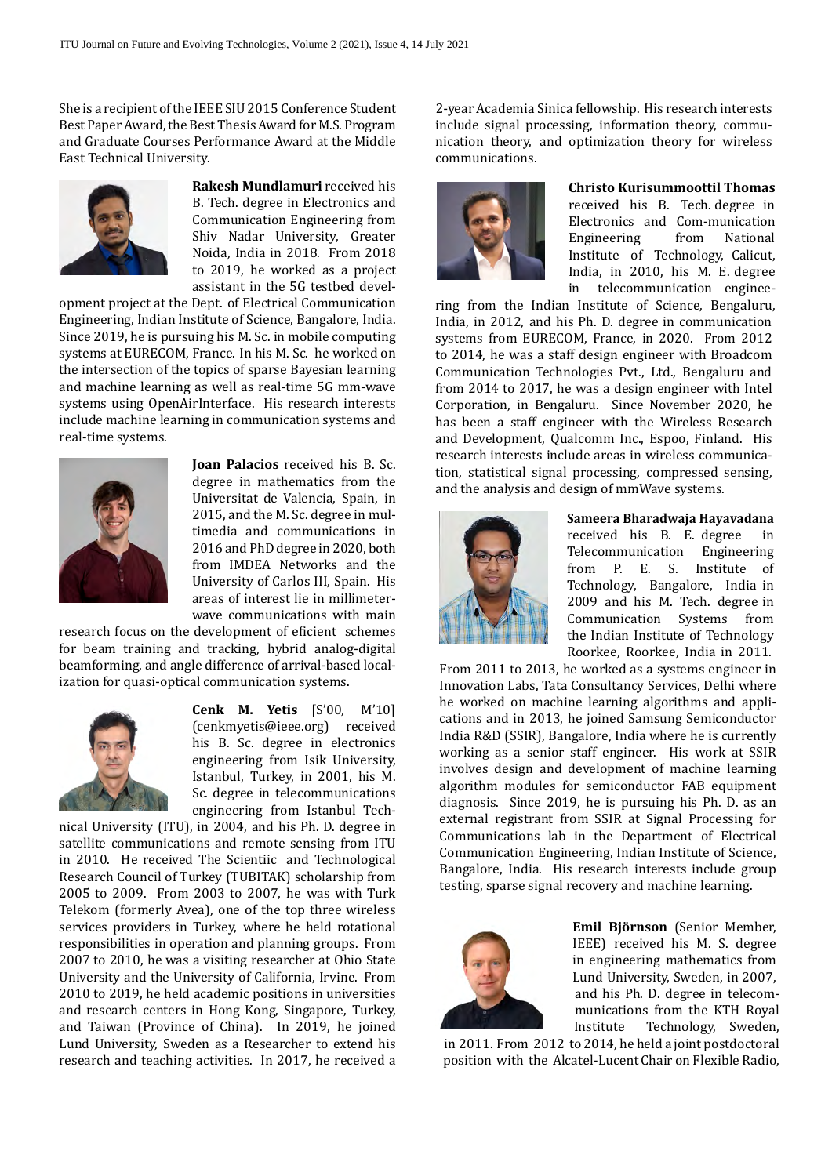She is a recipient of the IEEE SIU 2015 Conference Student Best Paper Award, the Best Thesis Award for M.S. Program and Graduate Courses Performance Award at the Middle East Technical University.



**Rakesh Mundlamuri** received his B. Tech. degree in Electronics and Communication Engineering from Shiv Nadar University, Greater Noida, India in 2018. From 2018 to 2019, he worked as a project assistant in the 5G testbed devel‐

opment project at the Dept. of Electrical Communication Engineering, Indian Institute of Science, Bangalore, India. Since 2019, he is pursuing his M. Sc. in mobile computing systems at EURECOM, France. In his M. Sc. he worked on the intersection of the topics of sparse Bayesian learning and machine learning as well as real‐time 5G mm‐wave systems using OpenAirInterface. His research interests include machine learning in communication systems and real‐time systems.



**Joan Palacios** received his B. Sc. degree in mathematics from the Universitat de Valencia, Spain, in 2015, and the M. Sc. degree in mul‐ timedia and communications in 2016 and PhD degree in 2020, both from IMDEA Networks and the University of Carlos III, Spain. His areas of interest lie in millimeter‐ wave communications with main

research focus on the development of eficient schemes for beam training and tracking, hybrid analog‐digital beamforming, and angle difference of arrival-based localization for quasi‐optical communication systems.



**Cenk M. Yetis** [S'00, M'10] (cenkmyetis@ieee.org) received his B. Sc. degree in electronics engineering from Isik University, Istanbul, Turkey, in 2001, his M. Sc. degree in telecommunications engineering from Istanbul Tech‐

nical University (ITU), in 2004, and his Ph. D. degree in satellite communications and remote sensing from ITU in 2010. He received The Scientiic and Technological Research Council of Turkey (TUBITAK) scholarship from 2005 to 2009. From 2003 to 2007, he was with Turk Telekom (formerly Avea), one of the top three wireless services providers in Turkey, where he held rotational responsibilities in operation and planning groups. From 2007 to 2010, he was a visiting researcher at Ohio State University and the University of California, Irvine. From 2010 to 2019, he held academic positions in universities and research centers in Hong Kong, Singapore, Turkey, and Taiwan (Province of China). In 2019, he joined Lund University, Sweden as a Researcher to extend his research and teaching activities. In 2017, he received a

2‐year Academia Sinica fellowship. His research interests include signal processing, information theory, communication theory, and optimization theory for wireless communications.



## **Christo Kurisummoottil Thomas** received his B. Tech. degree in Electronics and Com-munication<br>Engineering from National Engineering Institute of Technology, Calicut, India, in 2010, his M. E. degree in telecommunication enginee‐

ring from the Indian Institute of Science, Bengaluru, India, in 2012, and his Ph. D. degree in communication systems from EURECOM, France, in 2020. From 2012 to 2014, he was a staff design engineer with Broadcom Communication Technologies Pvt., Ltd., Bengaluru and from 2014 to 2017, he was a design engineer with Intel Corporation, in Bengaluru. Since November 2020, he has been a staff engineer with the Wireless Research and Development, Qualcomm Inc., Espoo, Finland. His research interests include areas in wireless communication, statistical signal processing, compressed sensing, and the analysis and design of mmWave systems.



**Sameera Bharadwaja Hayavadana** received his B. E. degree in Telecommunication Engineering from P. E. S. Institute of Technology, Bangalore, India in 2009 and his M. Tech. degree in Communication Systems from the Indian Institute of Technology Roorkee, Roorkee, India in 2011.

From 2011 to 2013, he worked as a systems engineer in Innovation Labs, Tata Consultancy Services, Delhi where he worked on machine learning algorithms and applications and in 2013, he joined Samsung Semiconductor India R&D (SSIR), Bangalore, India where he is currently working as a senior staff engineer. His work at SSIR involves design and development of machine learning algorithm modules for semiconductor FAB equipment diagnosis. Since 2019, he is pursuing his Ph. D. as an external registrant from SSIR at Signal Processing for Communications lab in the Department of Electrical Communication Engineering, Indian Institute of Science, Bangalore, India. His research interests include group testing, sparse signal recovery and machine learning.



**Emil Björnson** (Senior Member, IEEE) received his M. S. degree in engineering mathematics from Lund University, Sweden, in 2007, and his Ph. D. degree in telecom‐ munications from the KTH Royal<br>Institute Technology, Sweden, Technology, Sweden,

 in 2011. From 2012 to 2014, he held a joint postdoctoral position with the Alcatel‐Lucent Chair on Flexible Radio,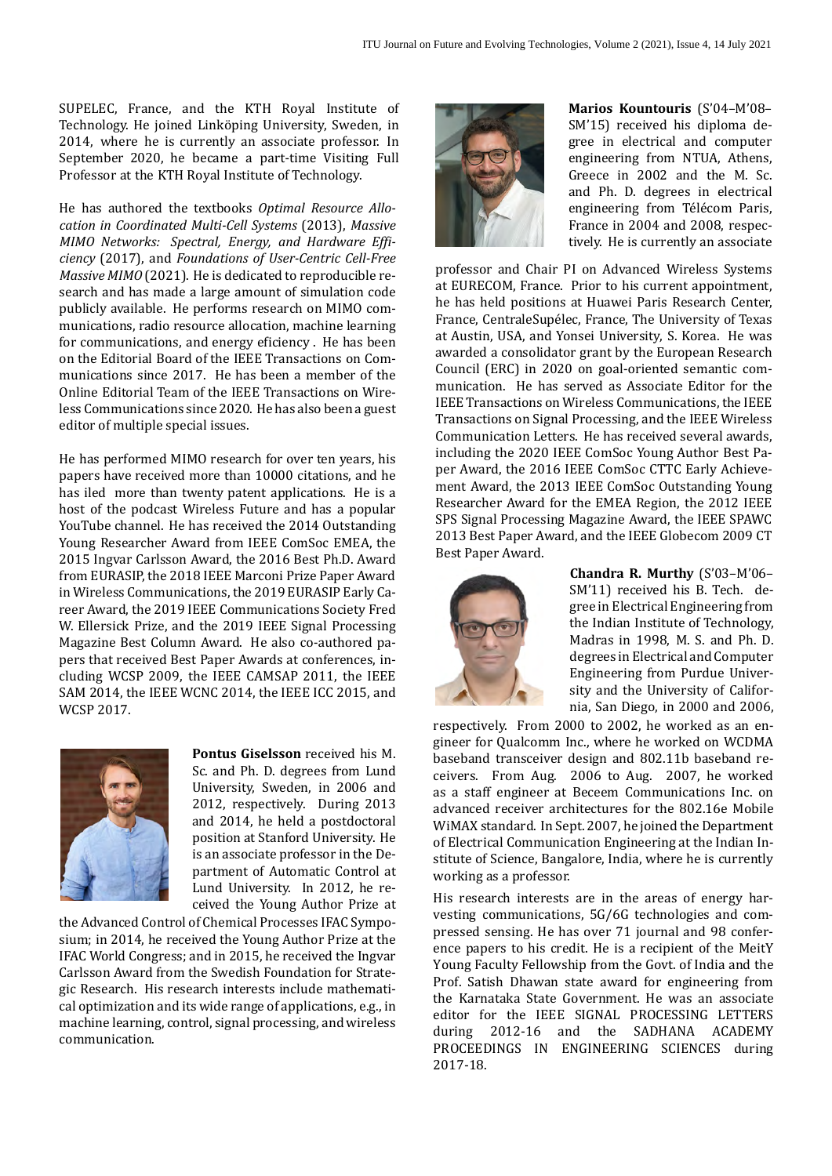SUPELEC, France, and the KTH Royal Institute of Technology. He joined Linköping University, Sweden, in 2014, where he is currently an associate professor. In September 2020, he became a part‐time Visiting Full Professor at the KTH Royal Institute of Technology.

He has authored the textbooks *Optimal Resource Allo‑ cation in Coordinated Multi‑Cell Systems* (2013), *Massive MIMO* Networks: *Spectral, Energy, and Hardware Efficiency* (2017), and *Foundations of User‑Centric Cell‑Free Massive MIMO* (2021). He is dedicated to reproducible re‐ search and has made a large amount of simulation code publicly available. He performs research on MIMO com‐ munications, radio resource allocation, machine learning for communications, and energy eficiency . He has been on the Editorial Board of the IEEE Transactions on Com‐ munications since 2017. He has been a member of the Online Editorial Team of the IEEE Transactions on Wire‐ less Communications since 2020. He has also been a guest editor of multiple special issues.

He has performed MIMO research for over ten years, his papers have received more than 10000 citations, and he has iled more than twenty patent applications. He is a host of the podcast Wireless Future and has a popular YouTube channel. He has received the 2014 Outstanding Young Researcher Award from IEEE ComSoc EMEA, the 2015 Ingvar Carlsson Award, the 2016 Best Ph.D. Award from EURASIP, the 2018 IEEE Marconi Prize Paper Award in Wireless Communications, the 2019 EURASIP Early Career Award, the 2019 IEEE Communications Society Fred W. Ellersick Prize, and the 2019 IEEE Signal Processing Magazine Best Column Award. He also co-authored papers that received Best Paper Awards at conferences, in‐ cluding WCSP 2009, the IEEE CAMSAP 2011, the IEEE SAM 2014, the IEEE WCNC 2014, the IEEE ICC 2015, and WCSP 2017.



**Pontus Giselsson** received his M. Sc. and Ph. D. degrees from Lund University, Sweden, in 2006 and 2012, respectively. During 2013 and 2014, he held a postdoctoral position at Stanford University. He is an associate professor in the De‐ partment of Automatic Control at Lund University. In 2012, he re‐ ceived the Young Author Prize at

the Advanced Control of Chemical Processes IFAC Symposium; in 2014, he received the Young Author Prize at the IFAC World Congress; and in 2015, he received the Ingvar Carlsson Award from the Swedish Foundation for Strate‐ gic Research. His research interests include mathemati‐ cal optimization and its wide range of applications, e.g., in machine learning, control, signal processing, and wireless communication.



**Marios Kountouris** (S'04–M'08– SM'15) received his diploma de‐ gree in electrical and computer engineering from NTUA, Athens, Greece in 2002 and the M. Sc. and Ph. D. degrees in electrical engineering from Télécom Paris, France in 2004 and 2008, respec‐ tively. He is currently an associate

professor and Chair PI on Advanced Wireless Systems at EURECOM, France. Prior to his current appointment, he has held positions at Huawei Paris Research Center, France, CentraleSupélec, France, The University of Texas at Austin, USA, and Yonsei University, S. Korea. He was awarded a consolidator grant by the European Research Council (ERC) in 2020 on goal‐oriented semantic com‐ munication. He has served as Associate Editor for the IEEE Transactions on Wireless Communications, the IEEE Transactions on Signal Processing, and the IEEE Wireless Communication Letters. He has received several awards, including the 2020 IEEE ComSoc Young Author Best Pa‐ per Award, the 2016 IEEE ComSoc CTTC Early Achieve‐ ment Award, the 2013 IEEE ComSoc Outstanding Young Researcher Award for the EMEA Region, the 2012 IEEE SPS Signal Processing Magazine Award, the IEEE SPAWC 2013 Best Paper Award, and the IEEE Globecom 2009 CT Best Paper Award.



**Chandra R. Murthy** (S'03–M'06– SM'11) received his B. Tech. degree in Electrical Engineering from the Indian Institute of Technology, Madras in 1998, M. S. and Ph. D. degrees in Electrical and Computer Engineering from Purdue Univer‐ sity and the University of Califor‐ nia, San Diego, in 2000 and 2006,

respectively. From 2000 to 2002, he worked as an en‐ gineer for Qualcomm Inc., where he worked on WCDMA baseband transceiver design and 802.11b baseband re‐ ceivers. From Aug. 2006 to Aug. 2007, he worked as a staff engineer at Beceem Communications Inc. on advanced receiver architectures for the 802.16e Mobile WiMAX standard. In Sept. 2007, he joined the Department of Electrical Communication Engineering at the Indian In‐ stitute of Science, Bangalore, India, where he is currently working as a professor.

His research interests are in the areas of energy harvesting communications, 5G/6G technologies and compressed sensing. He has over 71 journal and 98 conference papers to his credit. He is a recipient of the MeitY Young Faculty Fellowship from the Govt. of India and the Prof. Satish Dhawan state award for engineering from the Karnataka State Government. He was an associate editor for the IEEE SIGNAL PROCESSING LETTERS during 2012-16 and the SADHANA ACADEMY PROCEEDINGS IN ENGINEERING SCIENCES during 2017-18.